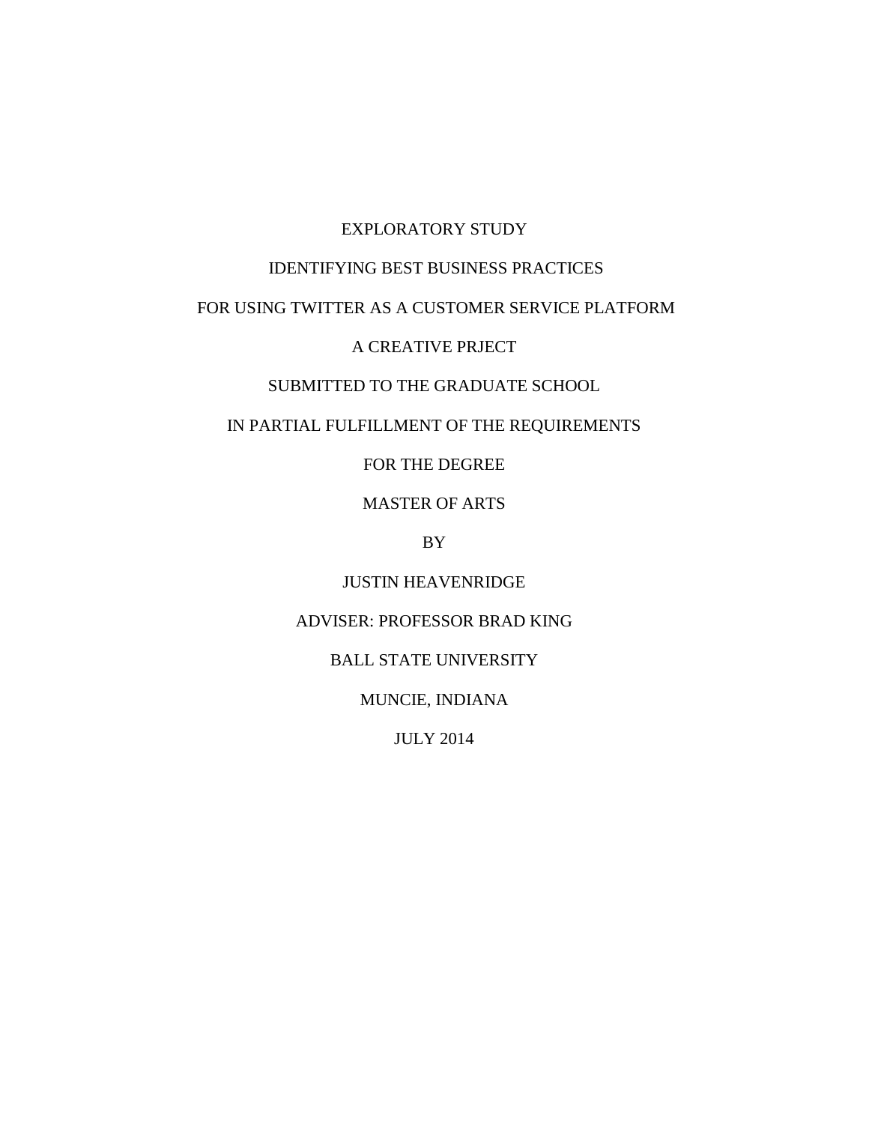## EXPLORATORY STUDY

# IDENTIFYING BEST BUSINESS PRACTICES

# FOR USING TWITTER AS A CUSTOMER SERVICE PLATFORM

## A CREATIVE PRJECT

## SUBMITTED TO THE GRADUATE SCHOOL

## IN PARTIAL FULFILLMENT OF THE REQUIREMENTS

FOR THE DEGREE

MASTER OF ARTS

BY

JUSTIN HEAVENRIDGE

## ADVISER: PROFESSOR BRAD KING

BALL STATE UNIVERSITY

MUNCIE, INDIANA

JULY 2014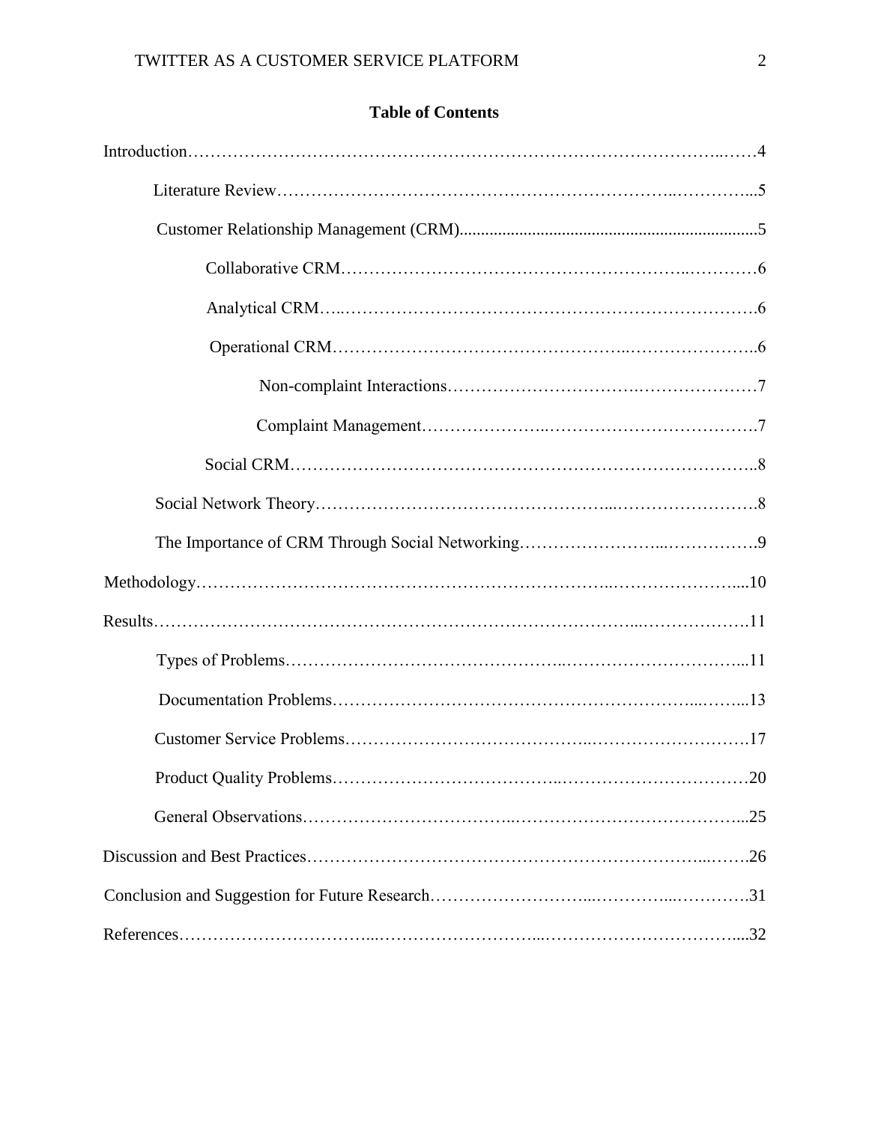|  | <b>Table of Contents</b> |  |
|--|--------------------------|--|
|  |                          |  |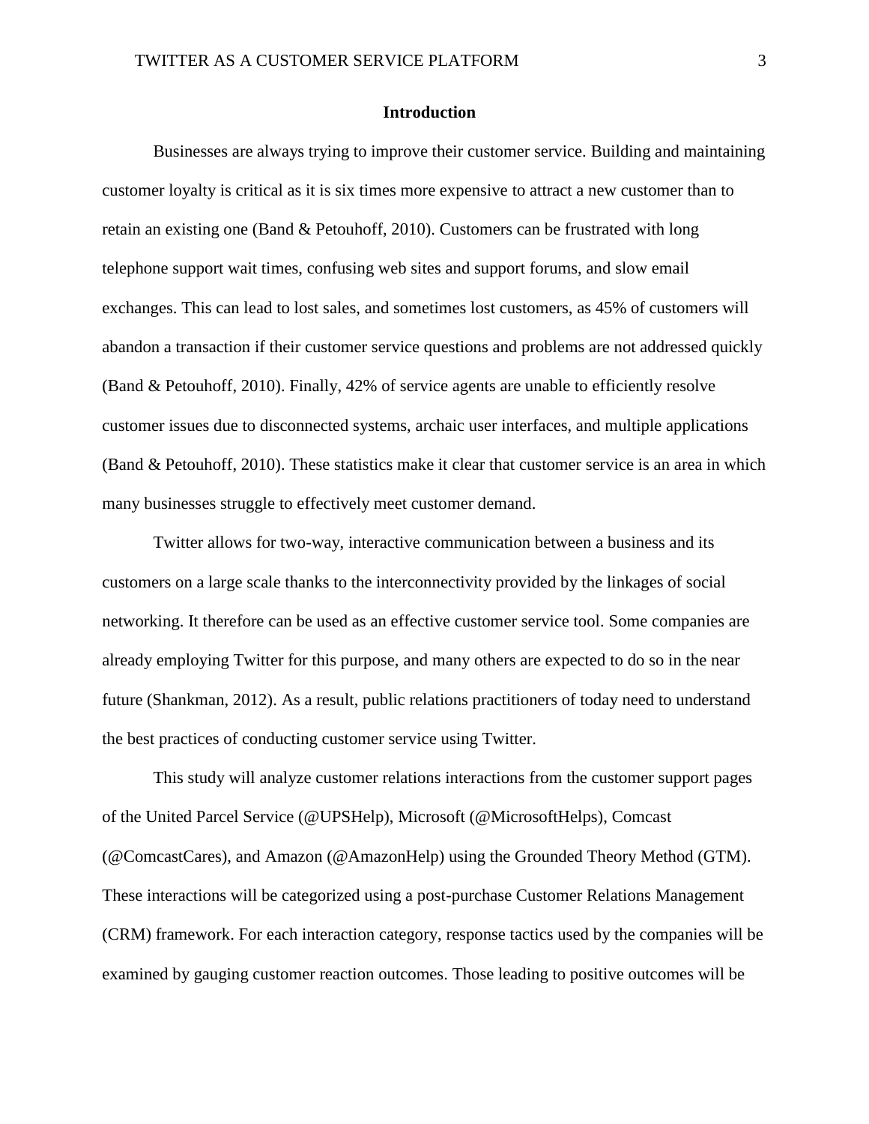#### **Introduction**

Businesses are always trying to improve their customer service. Building and maintaining customer loyalty is critical as it is six times more expensive to attract a new customer than to retain an existing one (Band & Petouhoff, 2010). Customers can be frustrated with long telephone support wait times, confusing web sites and support forums, and slow email exchanges. This can lead to lost sales, and sometimes lost customers, as 45% of customers will abandon a transaction if their customer service questions and problems are not addressed quickly (Band & Petouhoff, 2010). Finally, 42% of service agents are unable to efficiently resolve customer issues due to disconnected systems, archaic user interfaces, and multiple applications (Band & Petouhoff, 2010). These statistics make it clear that customer service is an area in which many businesses struggle to effectively meet customer demand.

Twitter allows for two-way, interactive communication between a business and its customers on a large scale thanks to the interconnectivity provided by the linkages of social networking. It therefore can be used as an effective customer service tool. Some companies are already employing Twitter for this purpose, and many others are expected to do so in the near future (Shankman, 2012). As a result, public relations practitioners of today need to understand the best practices of conducting customer service using Twitter.

This study will analyze customer relations interactions from the customer support pages of the United Parcel Service (@UPSHelp), Microsoft (@MicrosoftHelps), Comcast (@ComcastCares), and Amazon (@AmazonHelp) using the Grounded Theory Method (GTM). These interactions will be categorized using a post-purchase Customer Relations Management (CRM) framework. For each interaction category, response tactics used by the companies will be examined by gauging customer reaction outcomes. Those leading to positive outcomes will be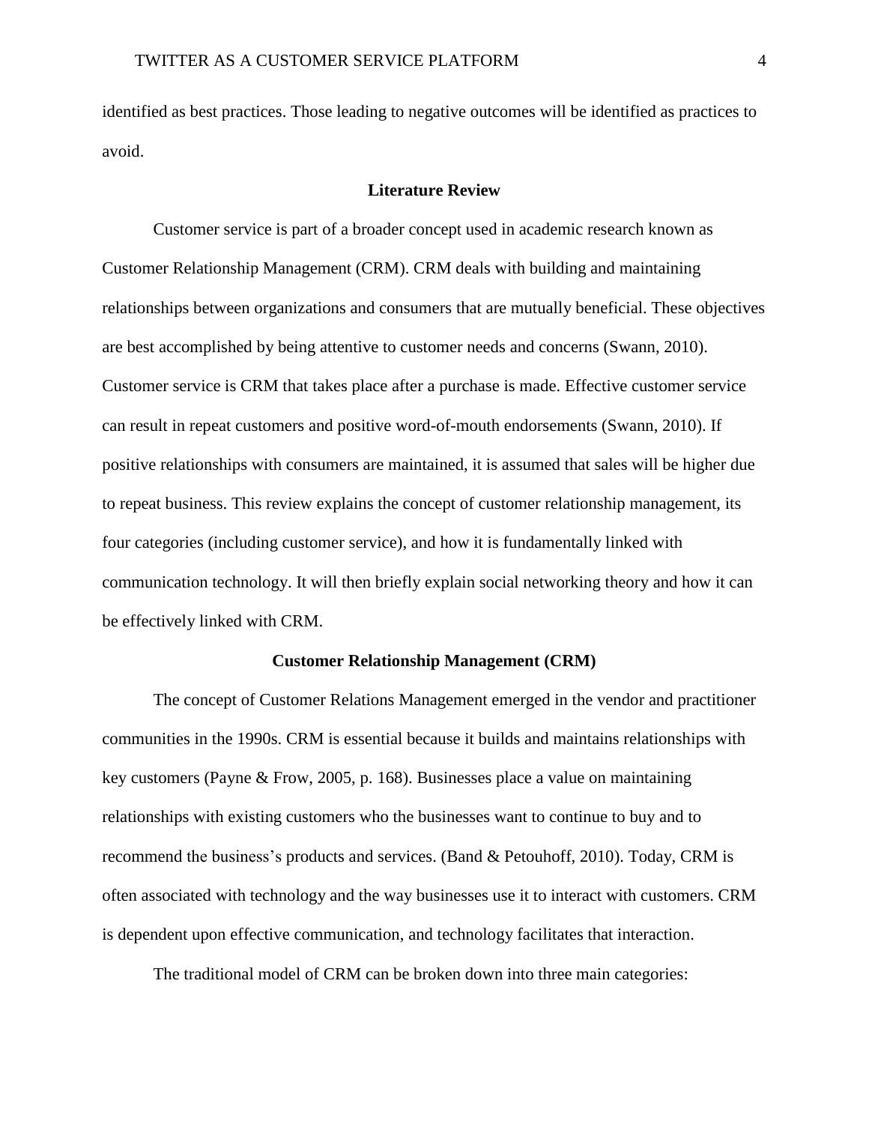identified as best practices. Those leading to negative outcomes will be identified as practices to avoid.

### **Literature Review**

Customer service is part of a broader concept used in academic research known as Customer Relationship Management (CRM). CRM deals with building and maintaining relationships between organizations and consumers that are mutually beneficial. These objectives are best accomplished by being attentive to customer needs and concerns (Swann, 2010). Customer service is CRM that takes place after a purchase is made. Effective customer service can result in repeat customers and positive word-of-mouth endorsements (Swann, 2010). If positive relationships with consumers are maintained, it is assumed that sales will be higher due to repeat business. This review explains the concept of customer relationship management, its four categories (including customer service), and how it is fundamentally linked with communication technology. It will then briefly explain social networking theory and how it can be effectively linked with CRM.

#### **Customer Relationship Management (CRM)**

The concept of Customer Relations Management emerged in the vendor and practitioner communities in the 1990s. CRM is essential because it builds and maintains relationships with key customers (Payne & Frow, 2005, p. 168). Businesses place a value on maintaining relationships with existing customers who the businesses want to continue to buy and to recommend the business's products and services. (Band & Petouhoff, 2010). Today, CRM is often associated with technology and the way businesses use it to interact with customers. CRM is dependent upon effective communication, and technology facilitates that interaction.

The traditional model of CRM can be broken down into three main categories: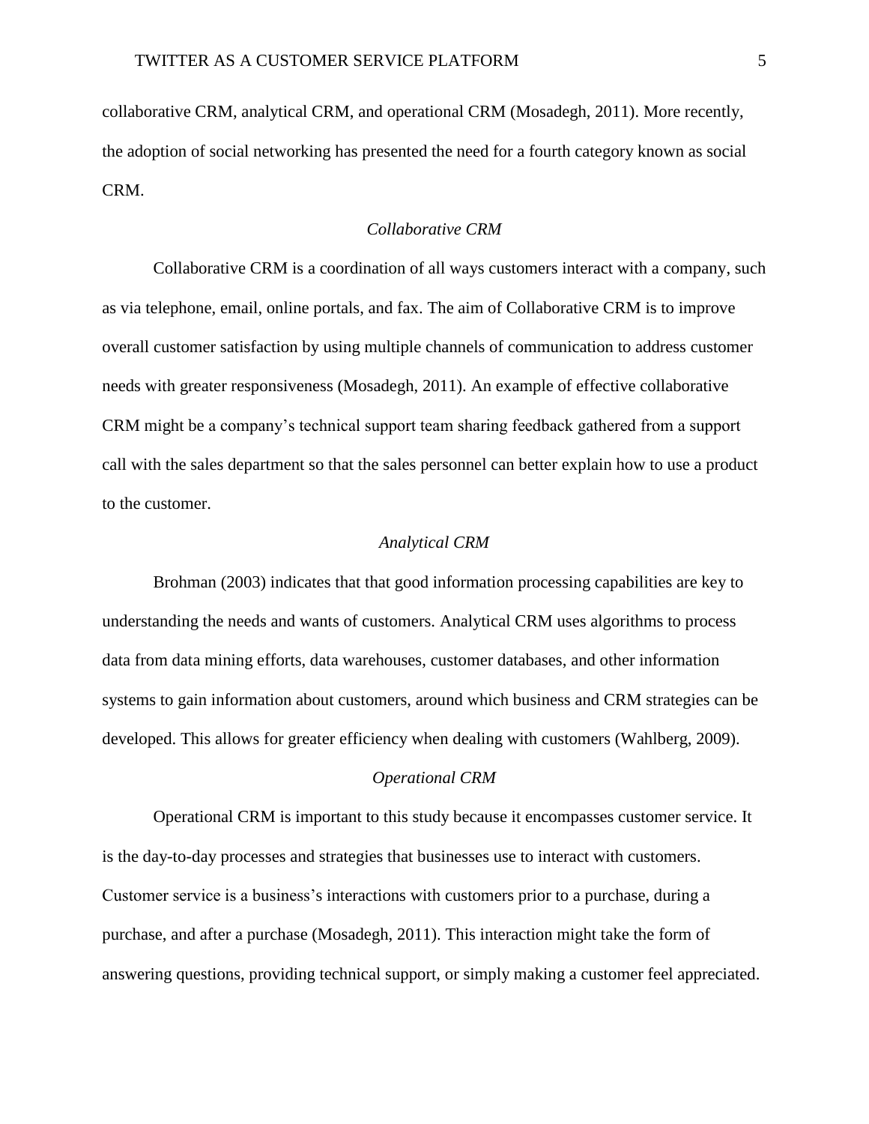collaborative CRM, analytical CRM, and operational CRM (Mosadegh, 2011). More recently, the adoption of social networking has presented the need for a fourth category known as social CRM.

### *Collaborative CRM*

Collaborative CRM is a coordination of all ways customers interact with a company, such as via telephone, email, online portals, and fax. The aim of Collaborative CRM is to improve overall customer satisfaction by using multiple channels of communication to address customer needs with greater responsiveness (Mosadegh, 2011). An example of effective collaborative CRM might be a company's technical support team sharing feedback gathered from a support call with the sales department so that the sales personnel can better explain how to use a product to the customer.

### *Analytical CRM*

Brohman (2003) indicates that that good information processing capabilities are key to understanding the needs and wants of customers. Analytical CRM uses algorithms to process data from data mining efforts, data warehouses, customer databases, and other information systems to gain information about customers, around which business and CRM strategies can be developed. This allows for greater efficiency when dealing with customers (Wahlberg, 2009).

#### *Operational CRM*

Operational CRM is important to this study because it encompasses customer service. It is the day-to-day processes and strategies that businesses use to interact with customers. Customer service is a business's interactions with customers prior to a purchase, during a purchase, and after a purchase (Mosadegh, 2011). This interaction might take the form of answering questions, providing technical support, or simply making a customer feel appreciated.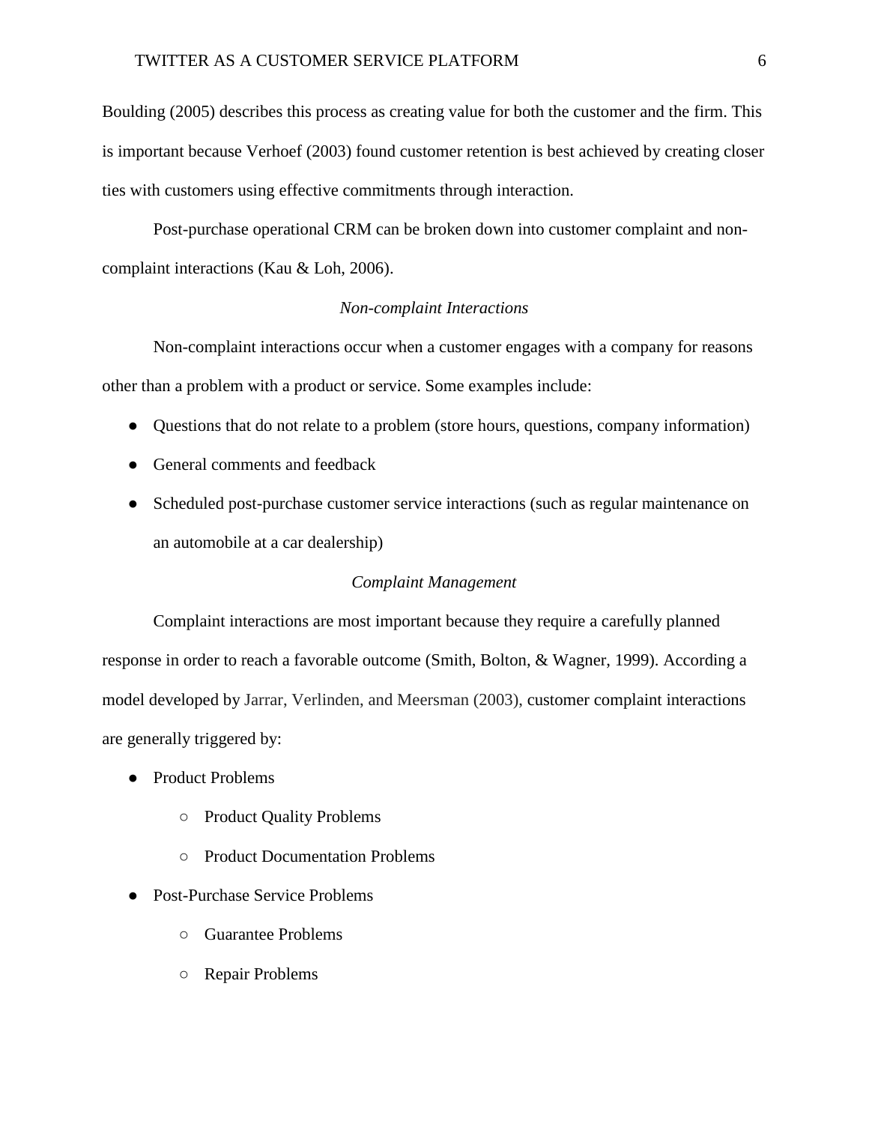Boulding (2005) describes this process as creating value for both the customer and the firm. This is important because Verhoef (2003) found customer retention is best achieved by creating closer ties with customers using effective commitments through interaction.

Post-purchase operational CRM can be broken down into customer complaint and noncomplaint interactions (Kau & Loh, 2006).

## *Non-complaint Interactions*

Non-complaint interactions occur when a customer engages with a company for reasons other than a problem with a product or service. Some examples include:

- Questions that do not relate to a problem (store hours, questions, company information)
- General comments and feedback
- Scheduled post-purchase customer service interactions (such as regular maintenance on an automobile at a car dealership)

#### *Complaint Management*

Complaint interactions are most important because they require a carefully planned response in order to reach a favorable outcome (Smith, Bolton, & Wagner, 1999). According a model developed by Jarrar, Verlinden, and Meersman (2003), customer complaint interactions are generally triggered by:

- Product Problems
	- Product Quality Problems
	- Product Documentation Problems
- Post-Purchase Service Problems
	- Guarantee Problems
	- Repair Problems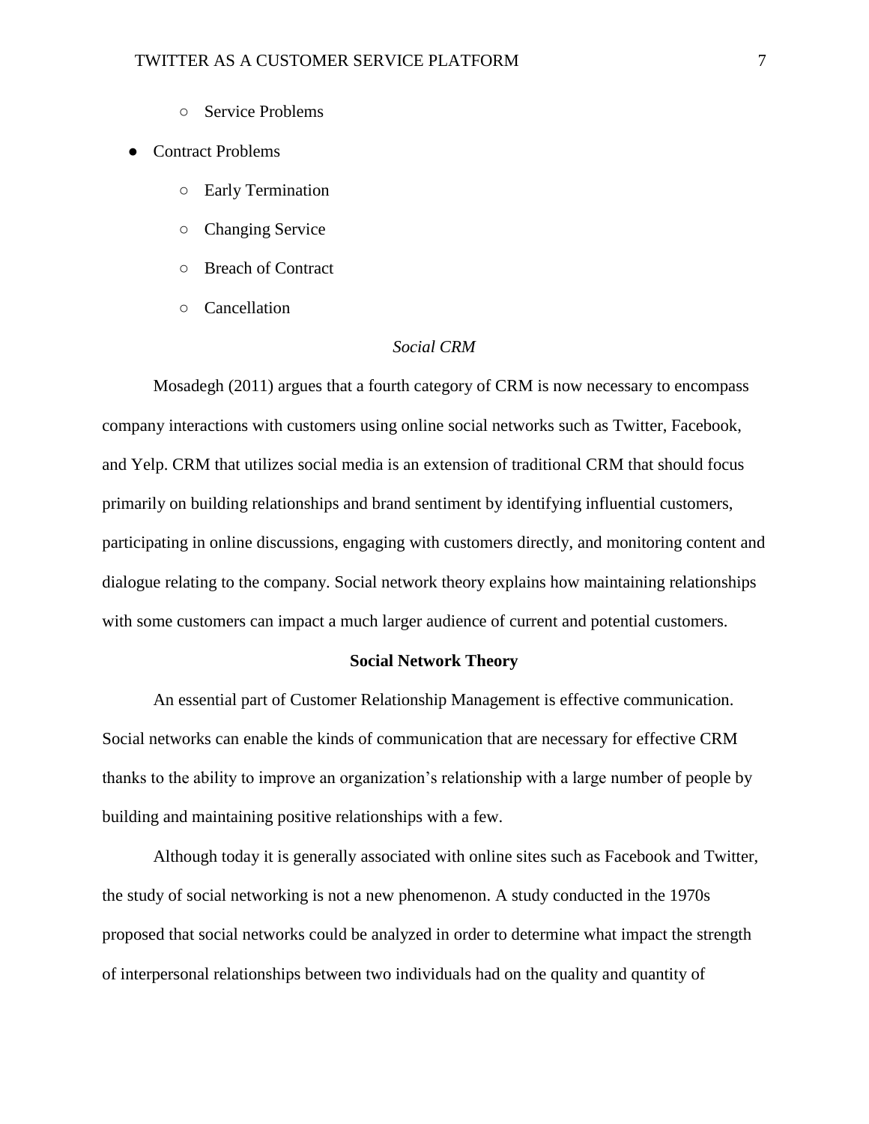○ Service Problems

### ● Contract Problems

- Early Termination
- Changing Service
- Breach of Contract
- Cancellation

## *Social CRM*

Mosadegh (2011) argues that a fourth category of CRM is now necessary to encompass company interactions with customers using online social networks such as Twitter, Facebook, and Yelp. CRM that utilizes social media is an extension of traditional CRM that should focus primarily on building relationships and brand sentiment by identifying influential customers, participating in online discussions, engaging with customers directly, and monitoring content and dialogue relating to the company. Social network theory explains how maintaining relationships with some customers can impact a much larger audience of current and potential customers.

#### **Social Network Theory**

An essential part of Customer Relationship Management is effective communication. Social networks can enable the kinds of communication that are necessary for effective CRM thanks to the ability to improve an organization's relationship with a large number of people by building and maintaining positive relationships with a few.

Although today it is generally associated with online sites such as Facebook and Twitter, the study of social networking is not a new phenomenon. A study conducted in the 1970s proposed that social networks could be analyzed in order to determine what impact the strength of interpersonal relationships between two individuals had on the quality and quantity of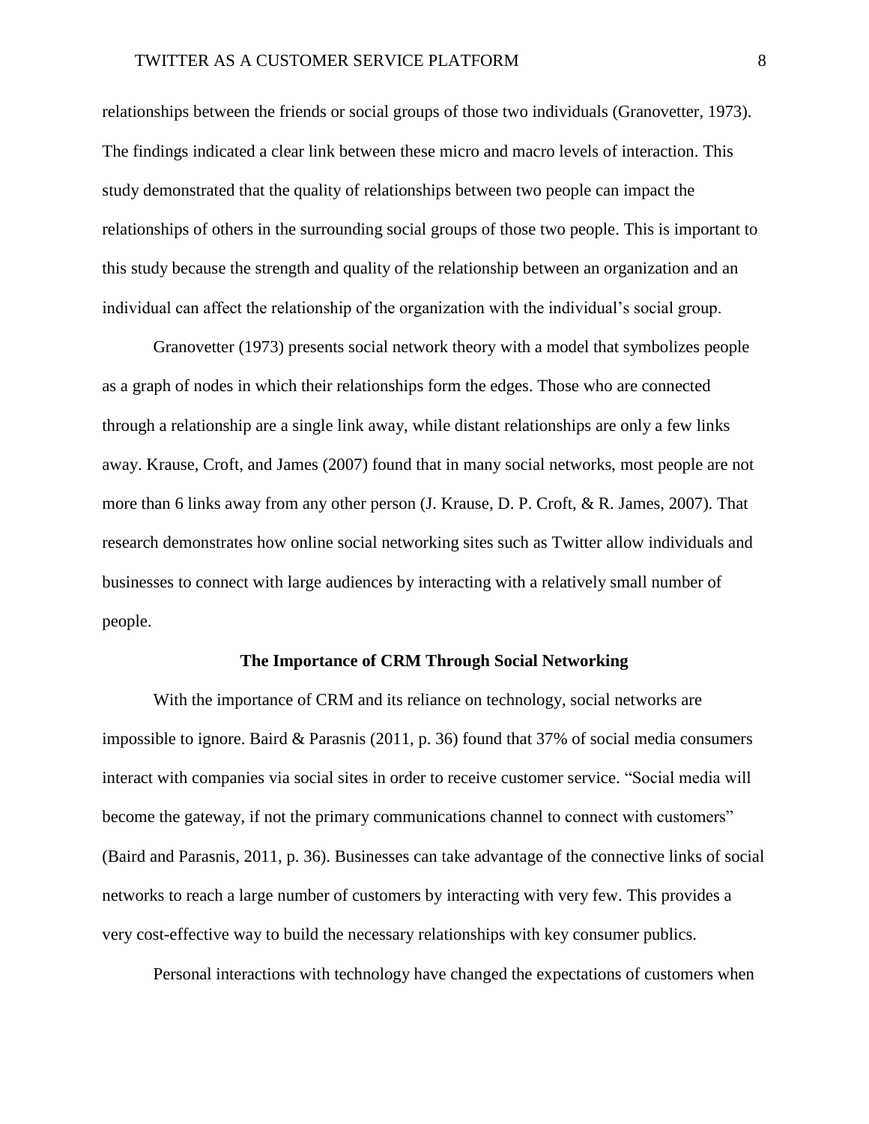relationships between the friends or social groups of those two individuals (Granovetter, 1973). The findings indicated a clear link between these micro and macro levels of interaction. This study demonstrated that the quality of relationships between two people can impact the relationships of others in the surrounding social groups of those two people. This is important to this study because the strength and quality of the relationship between an organization and an individual can affect the relationship of the organization with the individual's social group.

Granovetter (1973) presents social network theory with a model that symbolizes people as a graph of nodes in which their relationships form the edges. Those who are connected through a relationship are a single link away, while distant relationships are only a few links away. Krause, Croft, and James (2007) found that in many social networks, most people are not more than 6 links away from any other person (J. Krause, D. P. Croft, & R. James, 2007). That research demonstrates how online social networking sites such as Twitter allow individuals and businesses to connect with large audiences by interacting with a relatively small number of people.

#### **The Importance of CRM Through Social Networking**

With the importance of CRM and its reliance on technology, social networks are impossible to ignore. Baird & Parasnis  $(2011, p. 36)$  found that 37% of social media consumers interact with companies via social sites in order to receive customer service. "Social media will become the gateway, if not the primary communications channel to connect with customers" (Baird and Parasnis, 2011, p. 36). Businesses can take advantage of the connective links of social networks to reach a large number of customers by interacting with very few. This provides a very cost-effective way to build the necessary relationships with key consumer publics.

Personal interactions with technology have changed the expectations of customers when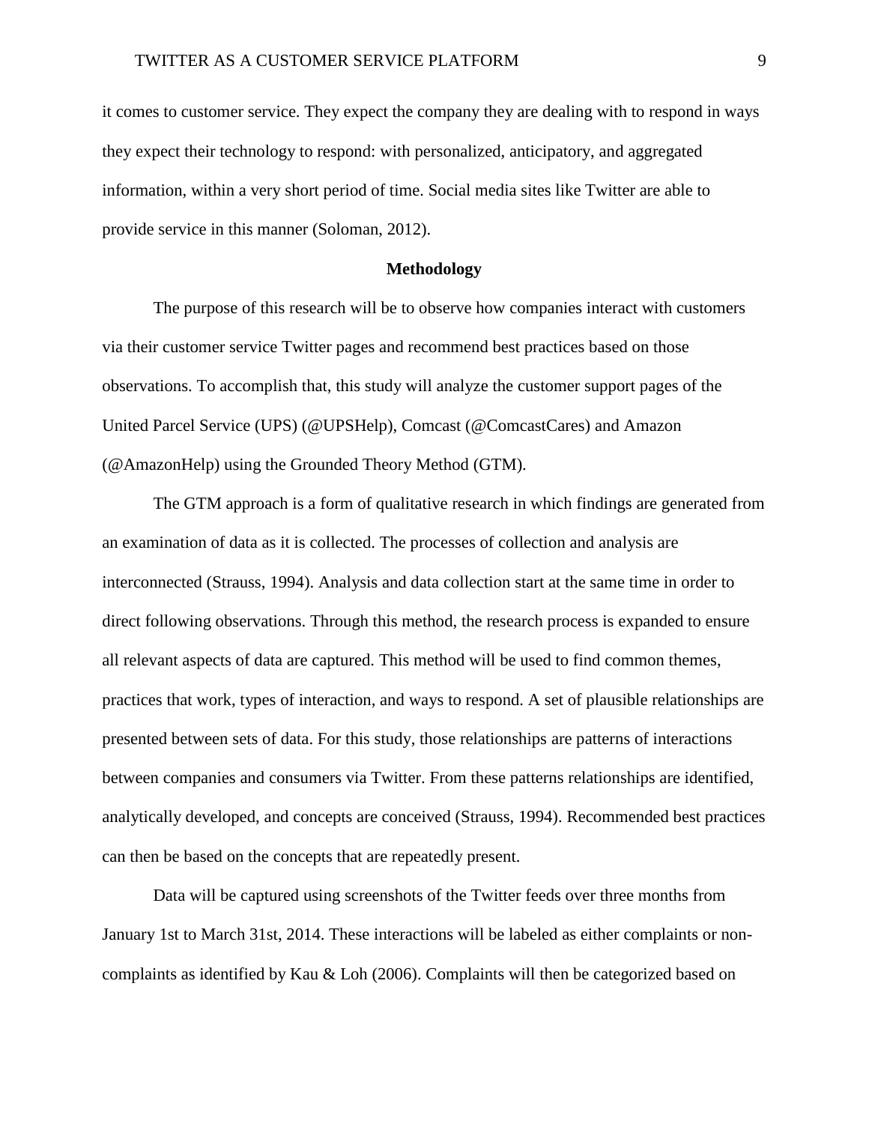it comes to customer service. They expect the company they are dealing with to respond in ways they expect their technology to respond: with personalized, anticipatory, and aggregated information, within a very short period of time. Social media sites like Twitter are able to provide service in this manner (Soloman, 2012).

#### **Methodology**

The purpose of this research will be to observe how companies interact with customers via their customer service Twitter pages and recommend best practices based on those observations. To accomplish that, this study will analyze the customer support pages of the United Parcel Service (UPS) (@UPSHelp), Comcast (@ComcastCares) and Amazon (@AmazonHelp) using the Grounded Theory Method (GTM).

The GTM approach is a form of qualitative research in which findings are generated from an examination of data as it is collected. The processes of collection and analysis are interconnected (Strauss, 1994). Analysis and data collection start at the same time in order to direct following observations. Through this method, the research process is expanded to ensure all relevant aspects of data are captured. This method will be used to find common themes, practices that work, types of interaction, and ways to respond. A set of plausible relationships are presented between sets of data. For this study, those relationships are patterns of interactions between companies and consumers via Twitter. From these patterns relationships are identified, analytically developed, and concepts are conceived (Strauss, 1994). Recommended best practices can then be based on the concepts that are repeatedly present.

Data will be captured using screenshots of the Twitter feeds over three months from January 1st to March 31st, 2014. These interactions will be labeled as either complaints or noncomplaints as identified by Kau & Loh (2006). Complaints will then be categorized based on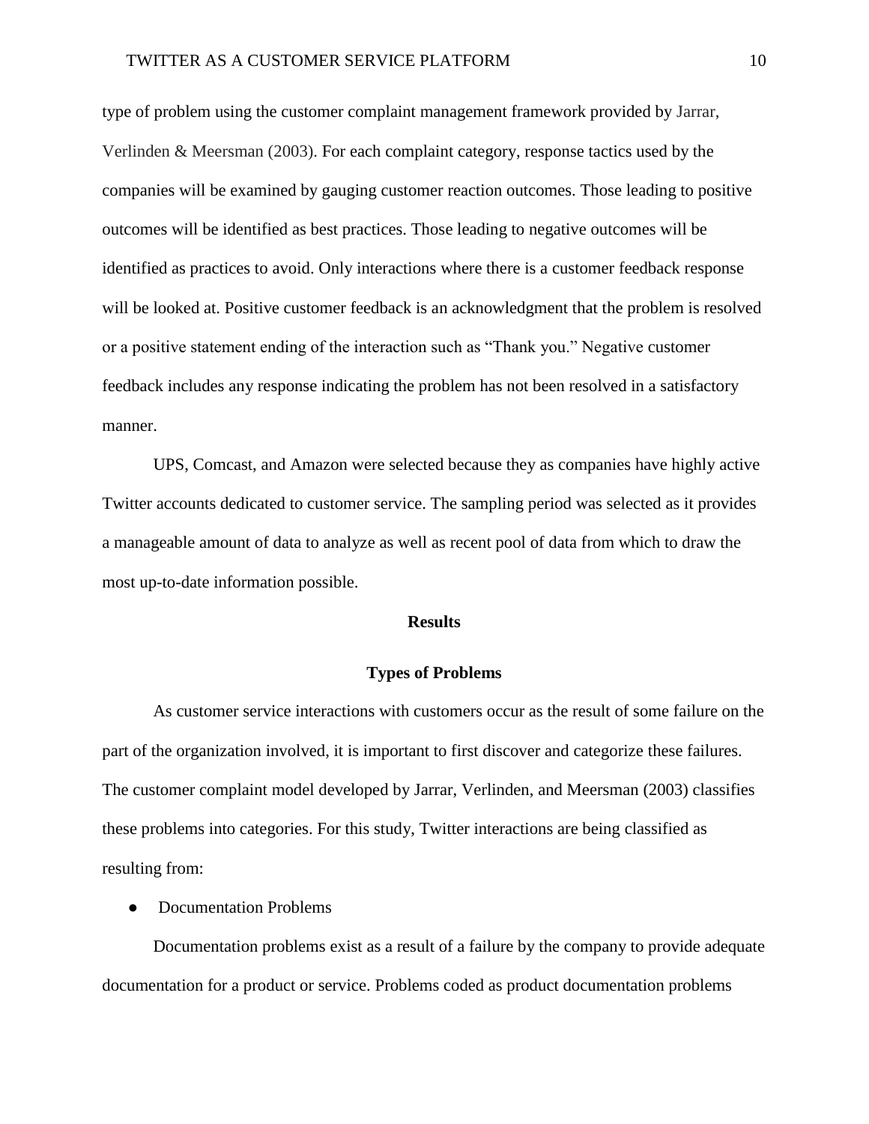type of problem using the customer complaint management framework provided by Jarrar, Verlinden & Meersman (2003). For each complaint category, response tactics used by the companies will be examined by gauging customer reaction outcomes. Those leading to positive outcomes will be identified as best practices. Those leading to negative outcomes will be identified as practices to avoid. Only interactions where there is a customer feedback response will be looked at. Positive customer feedback is an acknowledgment that the problem is resolved or a positive statement ending of the interaction such as "Thank you." Negative customer feedback includes any response indicating the problem has not been resolved in a satisfactory manner.

UPS, Comcast, and Amazon were selected because they as companies have highly active Twitter accounts dedicated to customer service. The sampling period was selected as it provides a manageable amount of data to analyze as well as recent pool of data from which to draw the most up-to-date information possible.

#### **Results**

#### **Types of Problems**

As customer service interactions with customers occur as the result of some failure on the part of the organization involved, it is important to first discover and categorize these failures. The customer complaint model developed by Jarrar, Verlinden, and Meersman (2003) classifies these problems into categories. For this study, Twitter interactions are being classified as resulting from:

● Documentation Problems

Documentation problems exist as a result of a failure by the company to provide adequate documentation for a product or service. Problems coded as product documentation problems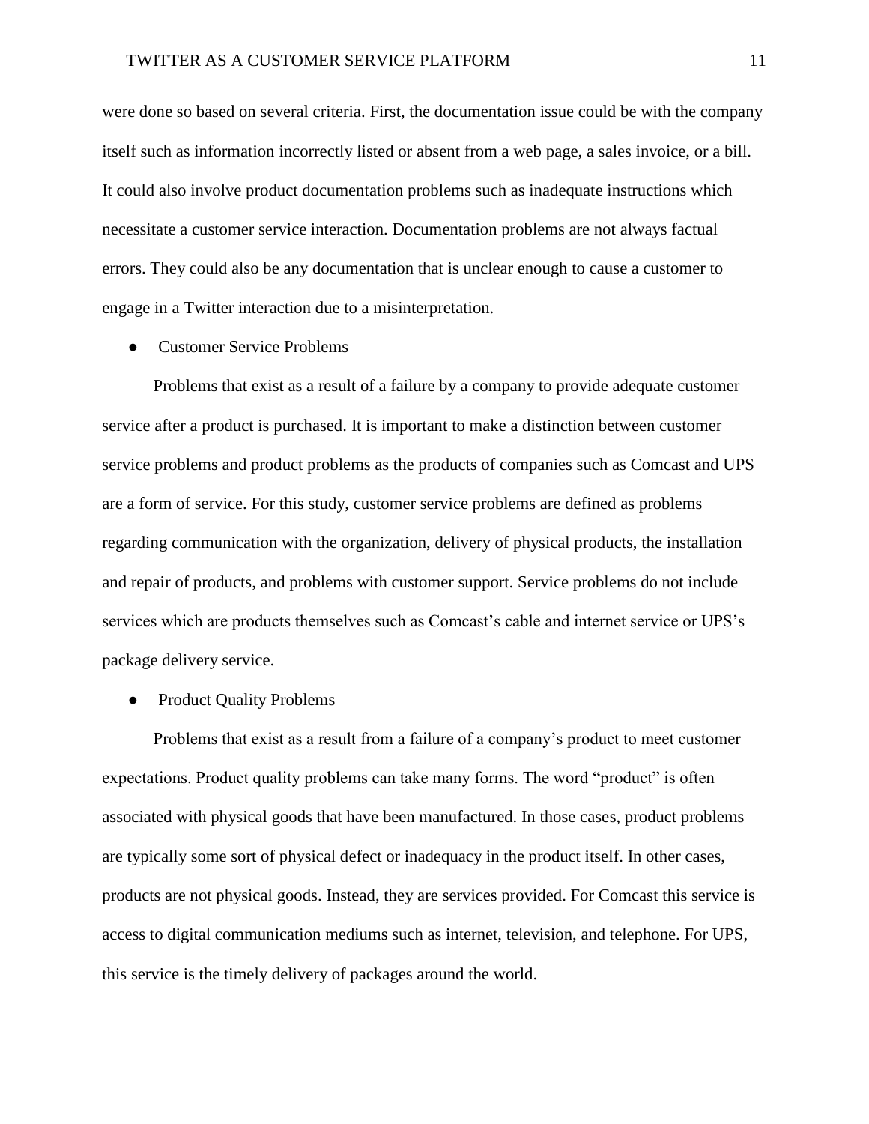were done so based on several criteria. First, the documentation issue could be with the company itself such as information incorrectly listed or absent from a web page, a sales invoice, or a bill. It could also involve product documentation problems such as inadequate instructions which necessitate a customer service interaction. Documentation problems are not always factual errors. They could also be any documentation that is unclear enough to cause a customer to engage in a Twitter interaction due to a misinterpretation.

Customer Service Problems

Problems that exist as a result of a failure by a company to provide adequate customer service after a product is purchased. It is important to make a distinction between customer service problems and product problems as the products of companies such as Comcast and UPS are a form of service. For this study, customer service problems are defined as problems regarding communication with the organization, delivery of physical products, the installation and repair of products, and problems with customer support. Service problems do not include services which are products themselves such as Comcast's cable and internet service or UPS's package delivery service.

• Product Quality Problems

Problems that exist as a result from a failure of a company's product to meet customer expectations. Product quality problems can take many forms. The word "product" is often associated with physical goods that have been manufactured. In those cases, product problems are typically some sort of physical defect or inadequacy in the product itself. In other cases, products are not physical goods. Instead, they are services provided. For Comcast this service is access to digital communication mediums such as internet, television, and telephone. For UPS, this service is the timely delivery of packages around the world.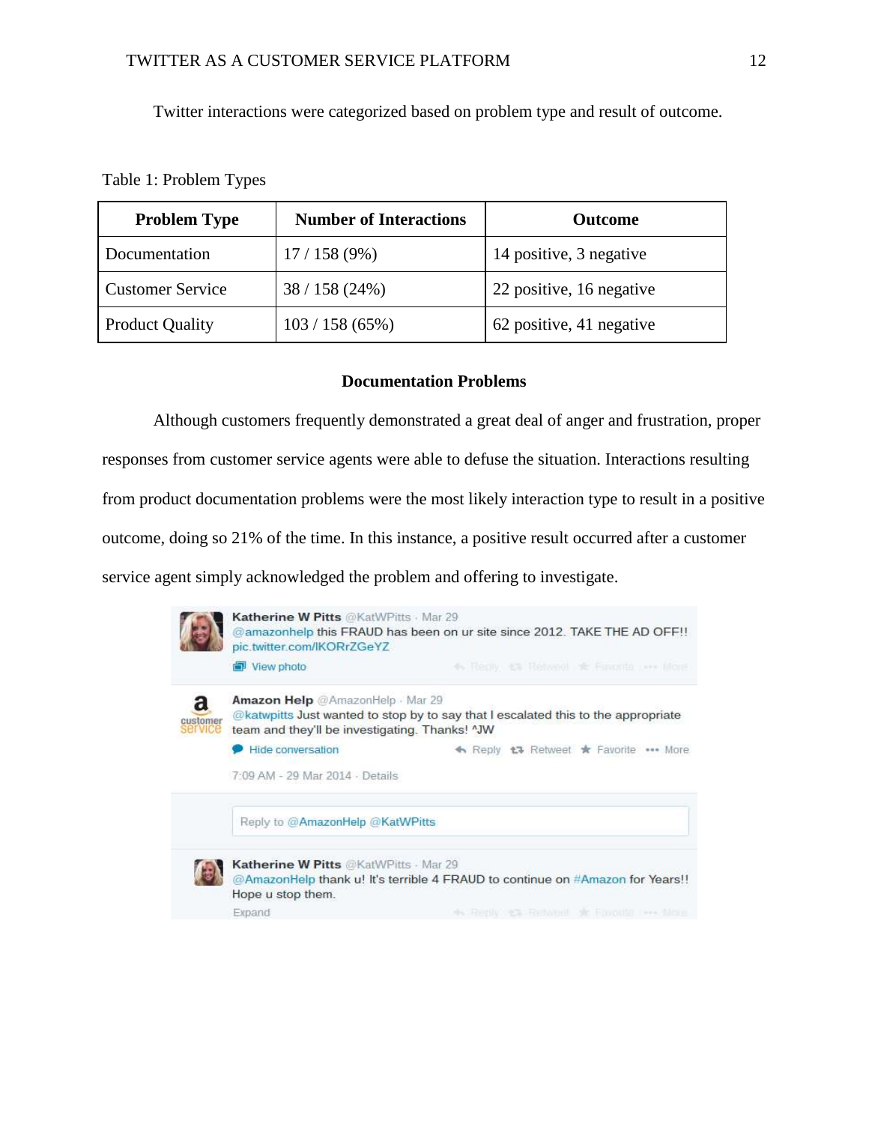Twitter interactions were categorized based on problem type and result of outcome.

### Table 1: Problem Types

| <b>Problem Type</b>     | <b>Number of Interactions</b> | <b>Outcome</b>           |
|-------------------------|-------------------------------|--------------------------|
| Documentation           | 17/158(9%)                    | 14 positive, 3 negative  |
| <b>Customer Service</b> | 38/158(24%)                   | 22 positive, 16 negative |
| <b>Product Quality</b>  | 103 / 158 (65%)               | 62 positive, 41 negative |

## **Documentation Problems**

Although customers frequently demonstrated a great deal of anger and frustration, proper responses from customer service agents were able to defuse the situation. Interactions resulting from product documentation problems were the most likely interaction type to result in a positive outcome, doing so 21% of the time. In this instance, a positive result occurred after a customer service agent simply acknowledged the problem and offering to investigate.

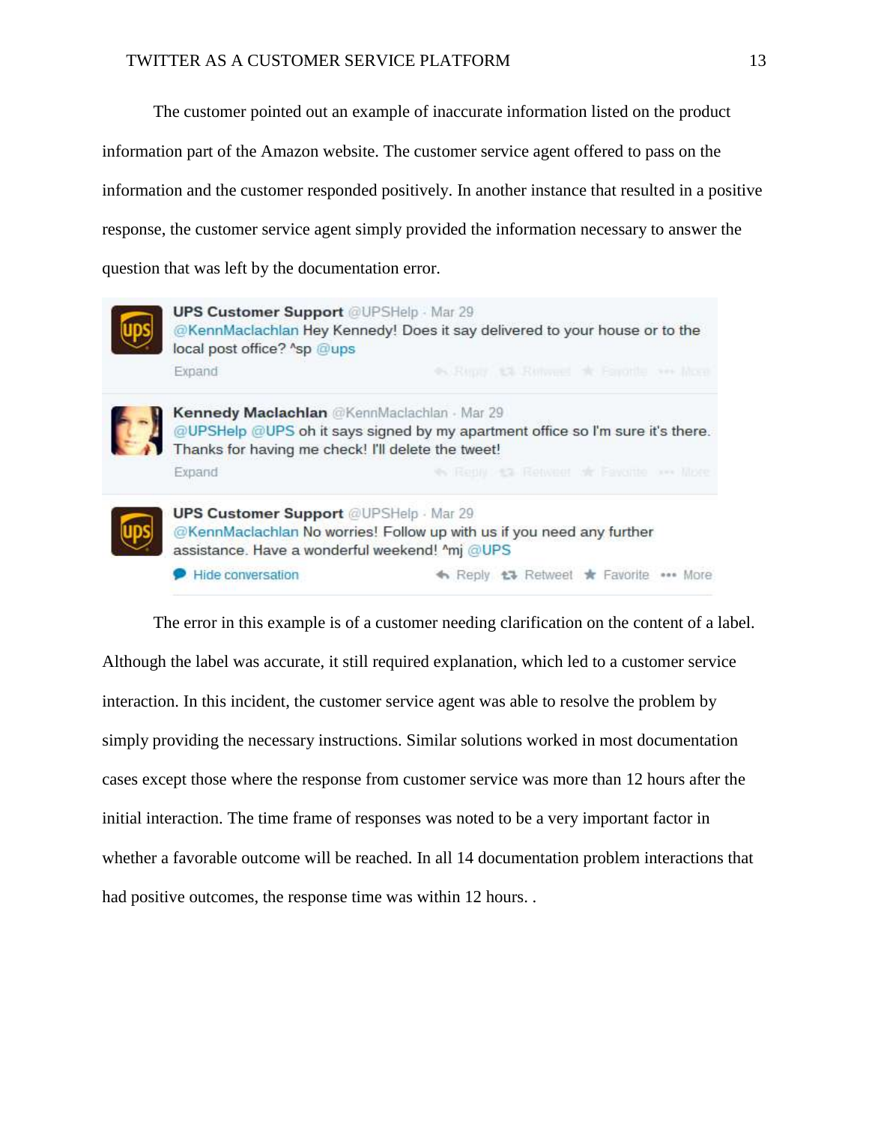The customer pointed out an example of inaccurate information listed on the product

information part of the Amazon website. The customer service agent offered to pass on the

information and the customer responded positively. In another instance that resulted in a positive

response, the customer service agent simply provided the information necessary to answer the

question that was left by the documentation error.



**UPS Customer Support @UPSHelp Mar 29** @KennMaclachlan Hey Kennedy! Does it say delivered to your house or to the local post office? ^sp @ups Expand



Kennedy Maclachlan @KennMaclachlan - Mar 29 @UPSHelp @UPS oh it says signed by my apartment office so I'm sure it's there. Thanks for having me check! I'll delete the tweet! ev Renny: 43 Renveer of Favorite one libre Expand



**UPS Customer Support @UPSHelp Mar 29** @KennMaclachlan No worries! Follow up with us if you need any further assistance. Have a wonderful weekend! ^mj @UPS

Hide conversation ← Reply <sup>+</sup> Retweet \* Favorite \*\*\* More

The error in this example is of a customer needing clarification on the content of a label. Although the label was accurate, it still required explanation, which led to a customer service interaction. In this incident, the customer service agent was able to resolve the problem by simply providing the necessary instructions. Similar solutions worked in most documentation cases except those where the response from customer service was more than 12 hours after the initial interaction. The time frame of responses was noted to be a very important factor in whether a favorable outcome will be reached. In all 14 documentation problem interactions that had positive outcomes, the response time was within 12 hours...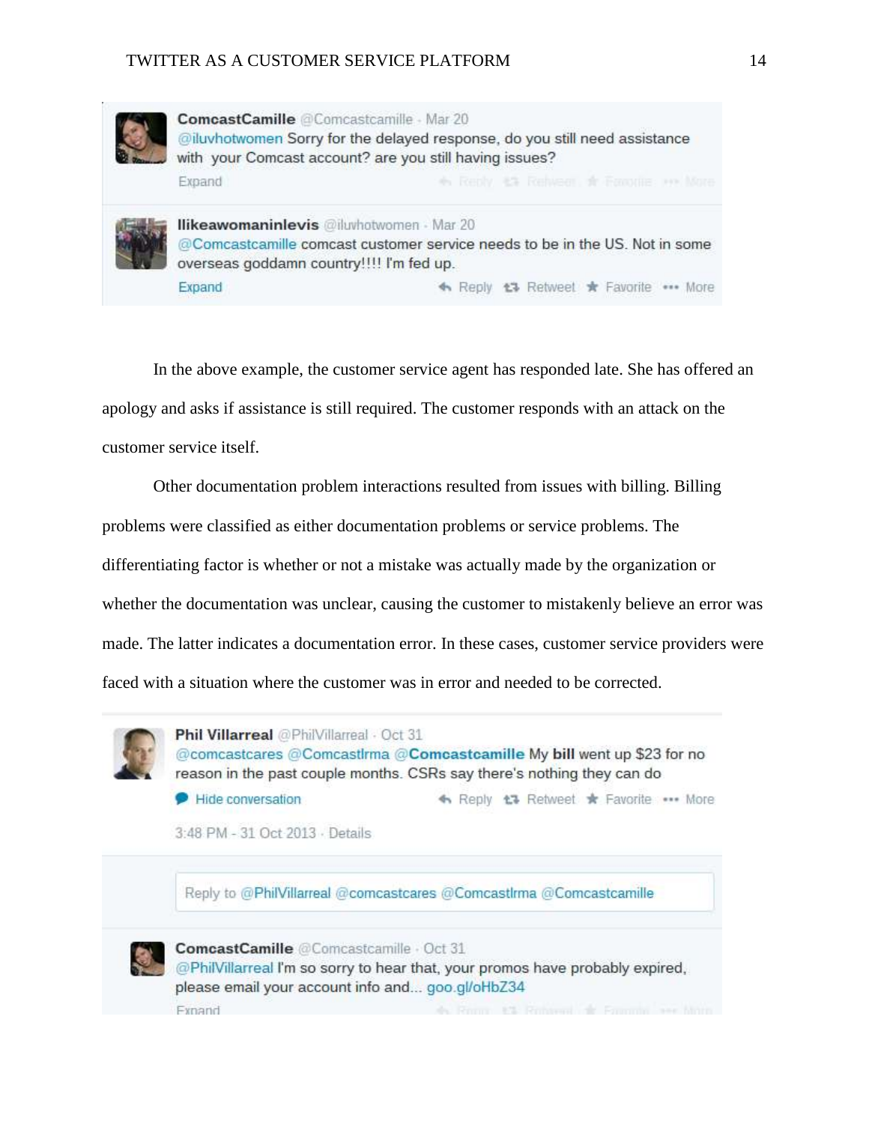

ComcastCamille @Comcastcamille - Mar 20 @iluvhotwomen Sorry for the delayed response, do you still need assistance with your Comcast account? are you still having issues? Expand + Reply #3 Rehieer \* Faronie >> More



**Ilikeawomaninlevis** @iluvhotwomen - Mar 20 @Comcastcamille comcast customer service needs to be in the US. Not in some overseas goddamn country!!!! I'm fed up. Expand ← Reply t<sup>3</sup> Retweet \* Favorite ••• More

In the above example, the customer service agent has responded late. She has offered an

apology and asks if assistance is still required. The customer responds with an attack on the

customer service itself.

Other documentation problem interactions resulted from issues with billing. Billing problems were classified as either documentation problems or service problems. The differentiating factor is whether or not a mistake was actually made by the organization or whether the documentation was unclear, causing the customer to mistakenly believe an error was made. The latter indicates a documentation error. In these cases, customer service providers were faced with a situation where the customer was in error and needed to be corrected.



Phil Villarreal @PhilVillarreal · Oct 31 @comcastcares @Comcastlrma @Comcastcamille My bill went up \$23 for no reason in the past couple months. CSRs say there's nothing they can do

Hide conversation ← Reply 17 Retweet \* Favorite ... More

3:48 PM - 31 Oct 2013 - Details

Reply to @PhilVillarreal @comcastcares @ComcastIrma @Comcastcamille



ComcastCamille @Comcastcamille - Oct 31

@PhilVillarreal I'm so sorry to hear that, your promos have probably expired, please email your account info and... goo.gl/oHbZ34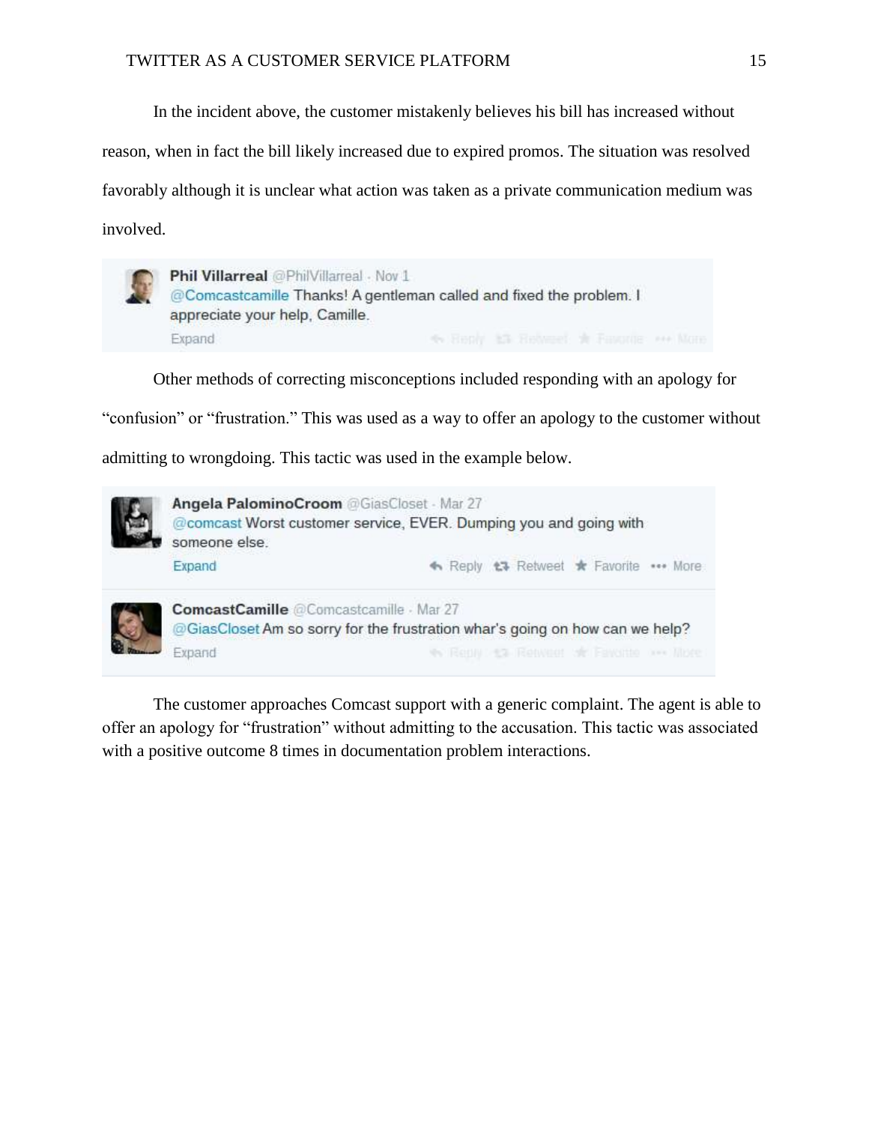In the incident above, the customer mistakenly believes his bill has increased without

reason, when in fact the bill likely increased due to expired promos. The situation was resolved

favorably although it is unclear what action was taken as a private communication medium was involved.



Other methods of correcting misconceptions included responding with an apology for

"confusion" or "frustration." This was used as a way to offer an apology to the customer without

admitting to wrongdoing. This tactic was used in the example below.



The customer approaches Comcast support with a generic complaint. The agent is able to offer an apology for "frustration" without admitting to the accusation. This tactic was associated with a positive outcome 8 times in documentation problem interactions.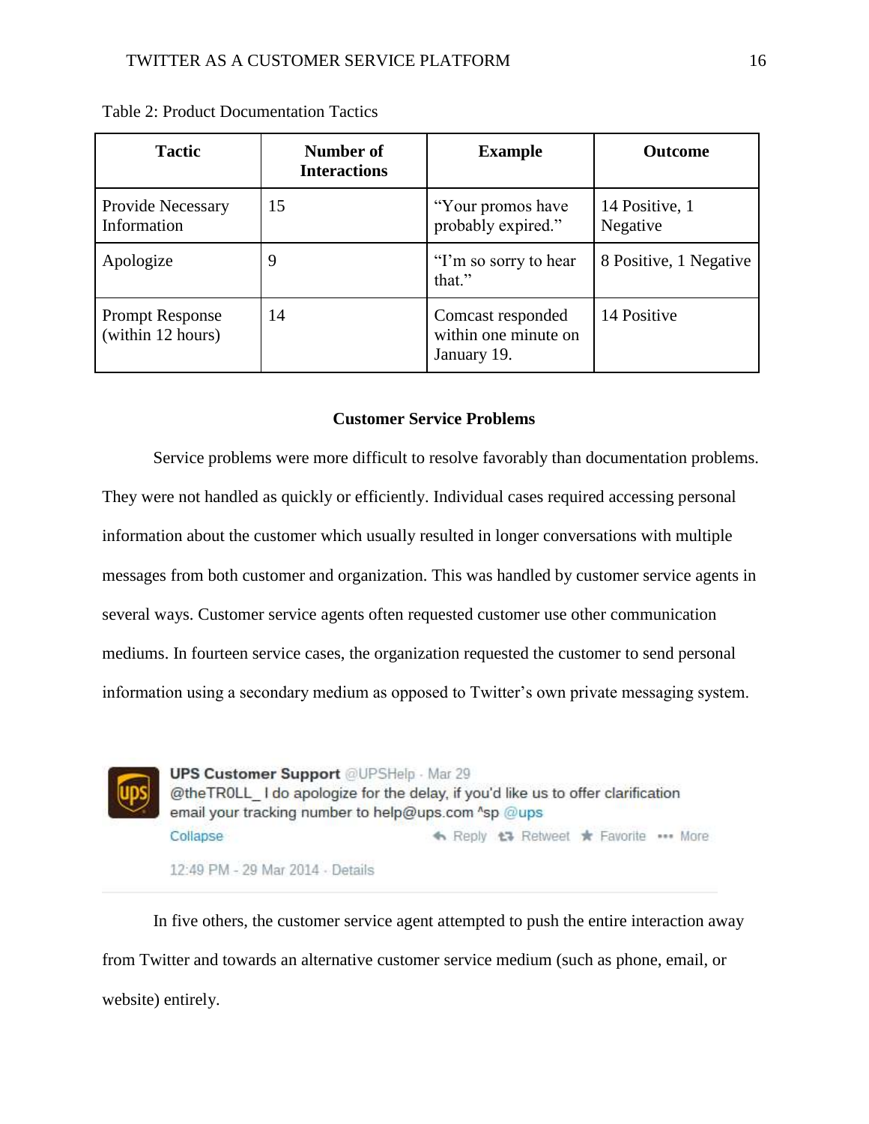| <b>Tactic</b>                               | Number of<br><b>Interactions</b> | <b>Example</b>                                           | <b>Outcome</b>             |
|---------------------------------------------|----------------------------------|----------------------------------------------------------|----------------------------|
| Provide Necessary<br>Information            | 15                               | "Your promos have"<br>probably expired."                 | 14 Positive, 1<br>Negative |
| Apologize                                   | 9                                | "I'm so sorry to hear"<br>that."                         | 8 Positive, 1 Negative     |
| <b>Prompt Response</b><br>(within 12 hours) | 14                               | Comcast responded<br>within one minute on<br>January 19. | 14 Positive                |

Table 2: Product Documentation Tactics

## **Customer Service Problems**

Service problems were more difficult to resolve favorably than documentation problems. They were not handled as quickly or efficiently. Individual cases required accessing personal information about the customer which usually resulted in longer conversations with multiple messages from both customer and organization. This was handled by customer service agents in several ways. Customer service agents often requested customer use other communication mediums. In fourteen service cases, the organization requested the customer to send personal information using a secondary medium as opposed to Twitter's own private messaging system.



In five others, the customer service agent attempted to push the entire interaction away from Twitter and towards an alternative customer service medium (such as phone, email, or website) entirely.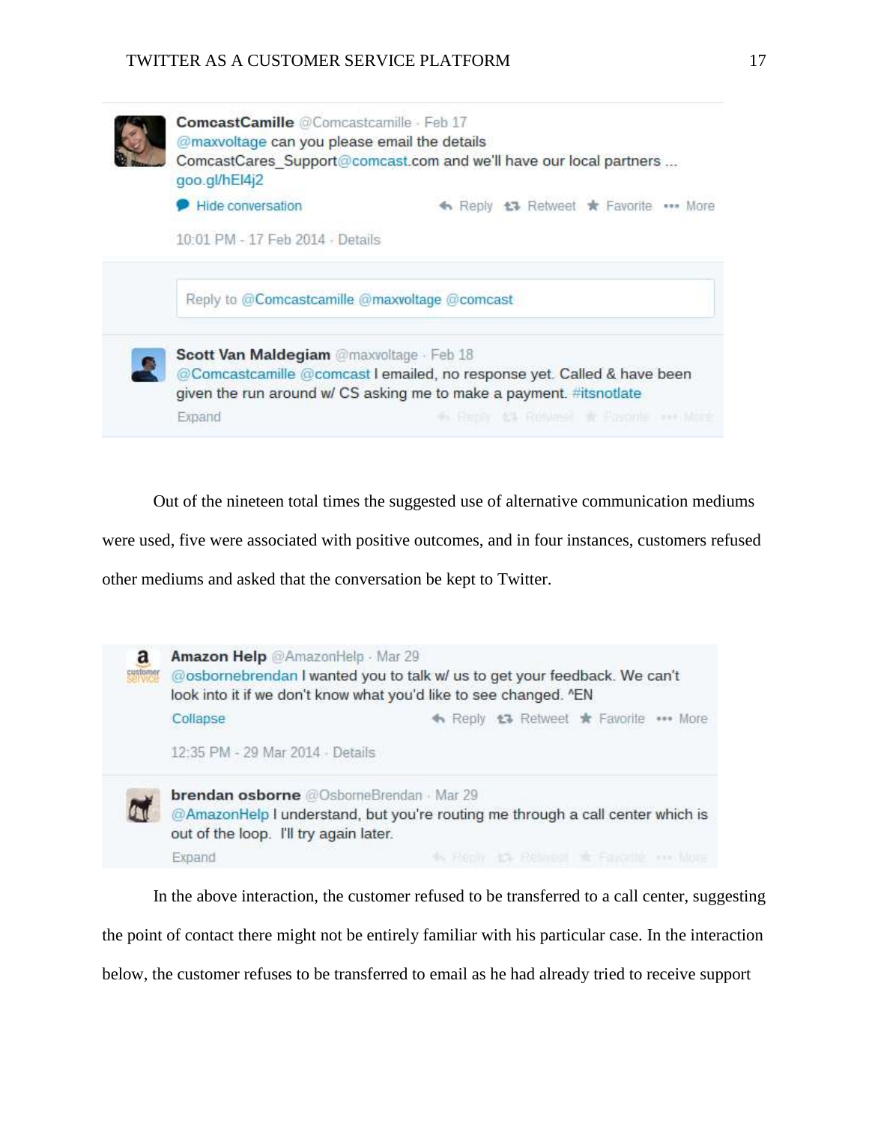

Out of the nineteen total times the suggested use of alternative communication mediums

were used, five were associated with positive outcomes, and in four instances, customers refused

other mediums and asked that the conversation be kept to Twitter.



In the above interaction, the customer refused to be transferred to a call center, suggesting the point of contact there might not be entirely familiar with his particular case. In the interaction below, the customer refuses to be transferred to email as he had already tried to receive support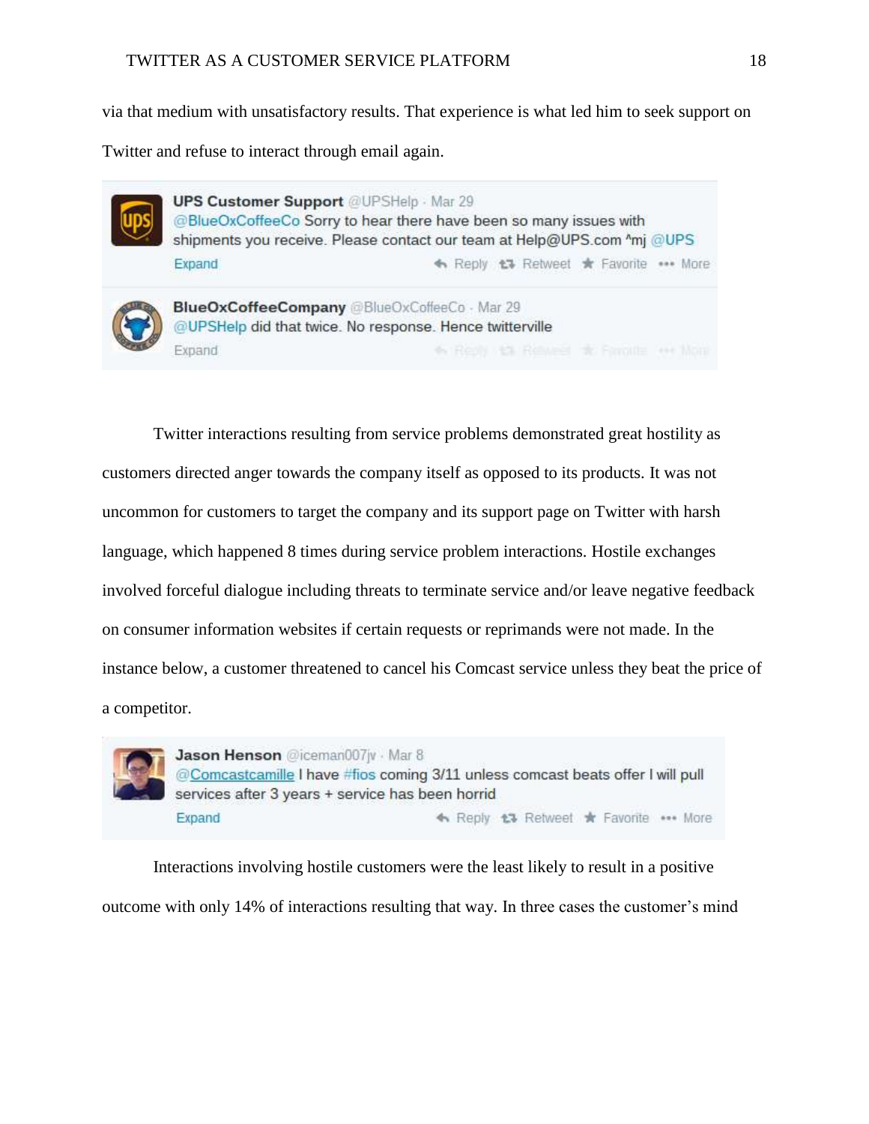via that medium with unsatisfactory results. That experience is what led him to seek support on

Twitter and refuse to interact through email again.



Twitter interactions resulting from service problems demonstrated great hostility as customers directed anger towards the company itself as opposed to its products. It was not uncommon for customers to target the company and its support page on Twitter with harsh language, which happened 8 times during service problem interactions. Hostile exchanges involved forceful dialogue including threats to terminate service and/or leave negative feedback on consumer information websites if certain requests or reprimands were not made. In the instance below, a customer threatened to cancel his Comcast service unless they beat the price of a competitor.



Jason Henson @iceman007jv · Mar 8 @Comcastcamille I have #fios coming 3/11 unless comcast beats offer I will pull services after 3 years + service has been horrid Expand ← Reply t3 Retweet \* Favorite \*\*\* More

Interactions involving hostile customers were the least likely to result in a positive outcome with only 14% of interactions resulting that way. In three cases the customer's mind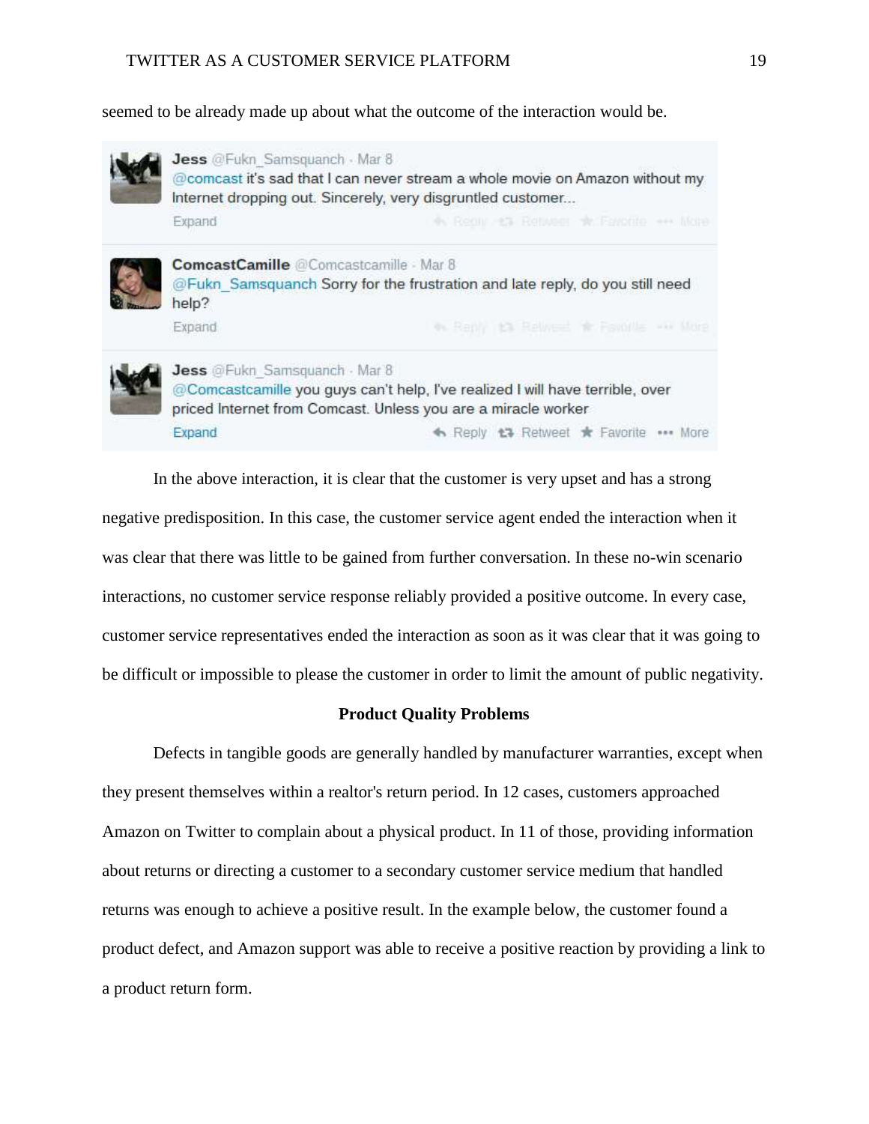seemed to be already made up about what the outcome of the interaction would be.



In the above interaction, it is clear that the customer is very upset and has a strong negative predisposition. In this case, the customer service agent ended the interaction when it was clear that there was little to be gained from further conversation. In these no-win scenario interactions, no customer service response reliably provided a positive outcome. In every case, customer service representatives ended the interaction as soon as it was clear that it was going to be difficult or impossible to please the customer in order to limit the amount of public negativity.

### **Product Quality Problems**

Defects in tangible goods are generally handled by manufacturer warranties, except when they present themselves within a realtor's return period. In 12 cases, customers approached Amazon on Twitter to complain about a physical product. In 11 of those, providing information about returns or directing a customer to a secondary customer service medium that handled returns was enough to achieve a positive result. In the example below, the customer found a product defect, and Amazon support was able to receive a positive reaction by providing a link to a product return form.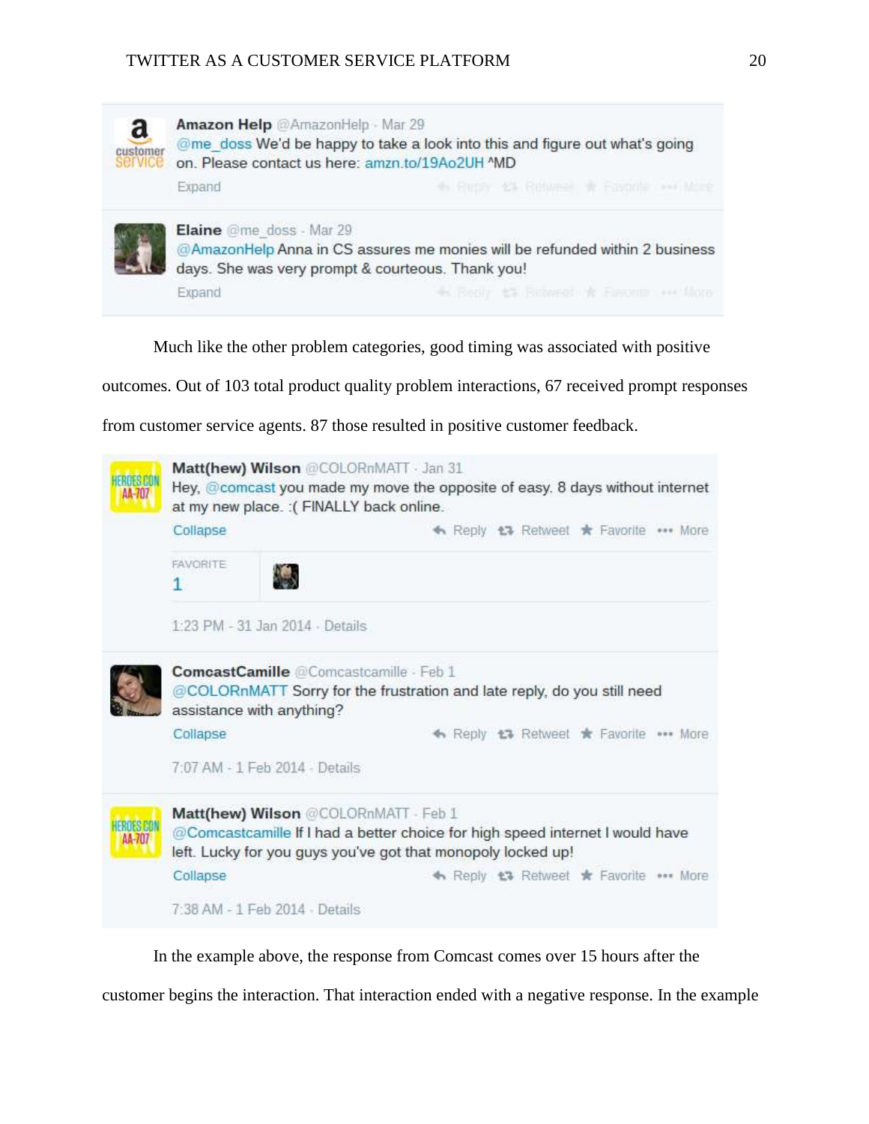

Much like the other problem categories, good timing was associated with positive

outcomes. Out of 103 total product quality problem interactions, 67 received prompt responses

from customer service agents. 87 those resulted in positive customer feedback.



In the example above, the response from Comcast comes over 15 hours after the

customer begins the interaction. That interaction ended with a negative response. In the example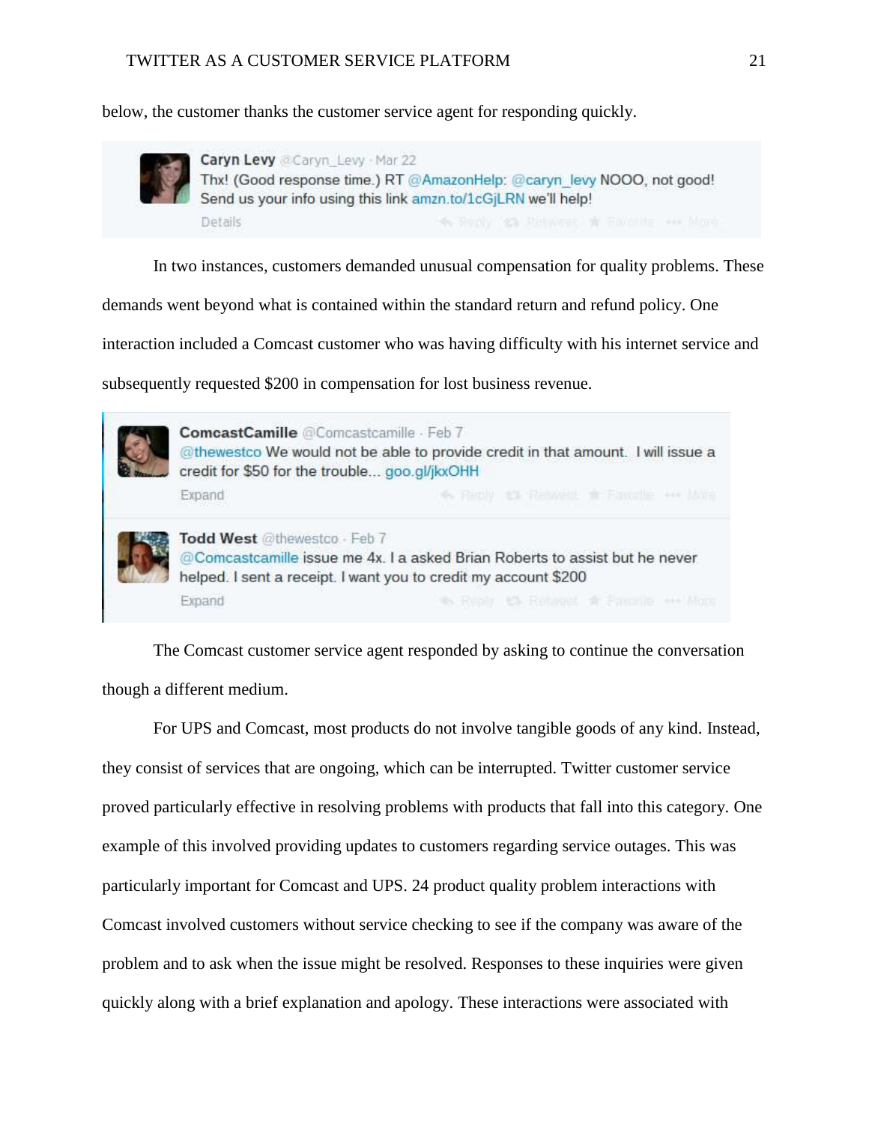below, the customer thanks the customer service agent for responding quickly.



Caryn Levy @Caryn Levy - Mar 22 Thx! (Good response time.) RT @AmazonHelp: @caryn levy NOOO, not good! Send us your info using this link amzn.to/1cGiLRN we'll help! Details

In two instances, customers demanded unusual compensation for quality problems. These

demands went beyond what is contained within the standard return and refund policy. One

interaction included a Comcast customer who was having difficulty with his internet service and

subsequently requested \$200 in compensation for lost business revenue.



The Comcast customer service agent responded by asking to continue the conversation though a different medium.

For UPS and Comcast, most products do not involve tangible goods of any kind. Instead, they consist of services that are ongoing, which can be interrupted. Twitter customer service proved particularly effective in resolving problems with products that fall into this category. One example of this involved providing updates to customers regarding service outages. This was particularly important for Comcast and UPS. 24 product quality problem interactions with Comcast involved customers without service checking to see if the company was aware of the problem and to ask when the issue might be resolved. Responses to these inquiries were given quickly along with a brief explanation and apology. These interactions were associated with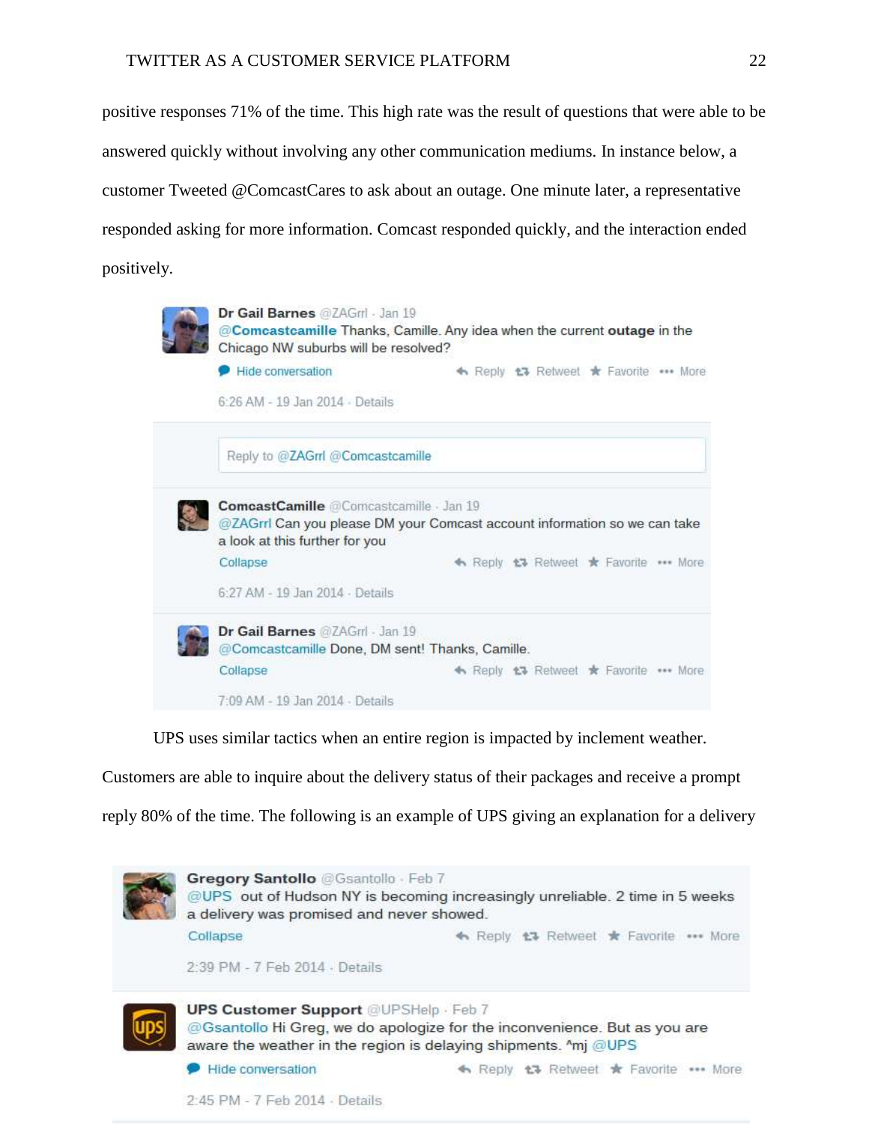positive responses 71% of the time. This high rate was the result of questions that were able to be answered quickly without involving any other communication mediums. In instance below, a customer Tweeted @ComcastCares to ask about an outage. One minute later, a representative responded asking for more information. Comcast responded quickly, and the interaction ended positively.



UPS uses similar tactics when an entire region is impacted by inclement weather.

Customers are able to inquire about the delivery status of their packages and receive a prompt

reply 80% of the time. The following is an example of UPS giving an explanation for a delivery

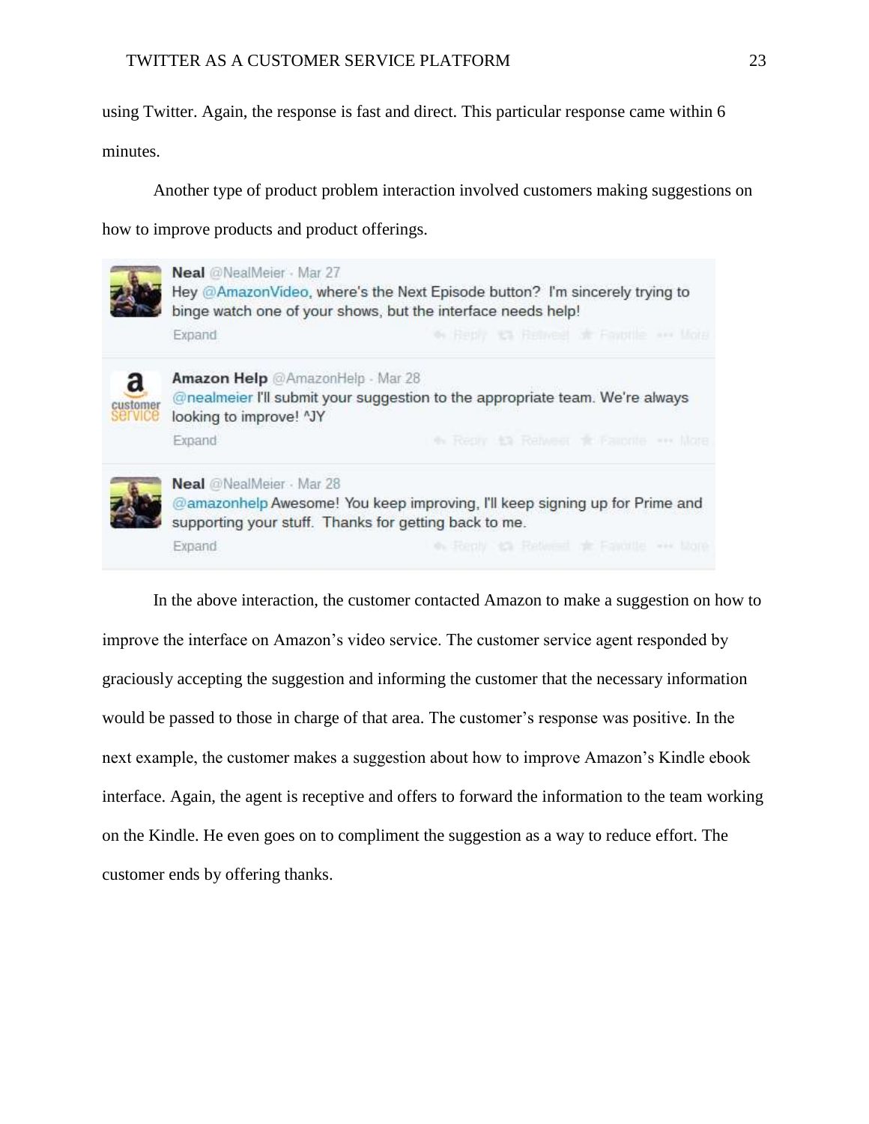using Twitter. Again, the response is fast and direct. This particular response came within 6

minutes.

Another type of product problem interaction involved customers making suggestions on how to improve products and product offerings.



In the above interaction, the customer contacted Amazon to make a suggestion on how to improve the interface on Amazon's video service. The customer service agent responded by graciously accepting the suggestion and informing the customer that the necessary information would be passed to those in charge of that area. The customer's response was positive. In the next example, the customer makes a suggestion about how to improve Amazon's Kindle ebook interface. Again, the agent is receptive and offers to forward the information to the team working on the Kindle. He even goes on to compliment the suggestion as a way to reduce effort. The customer ends by offering thanks.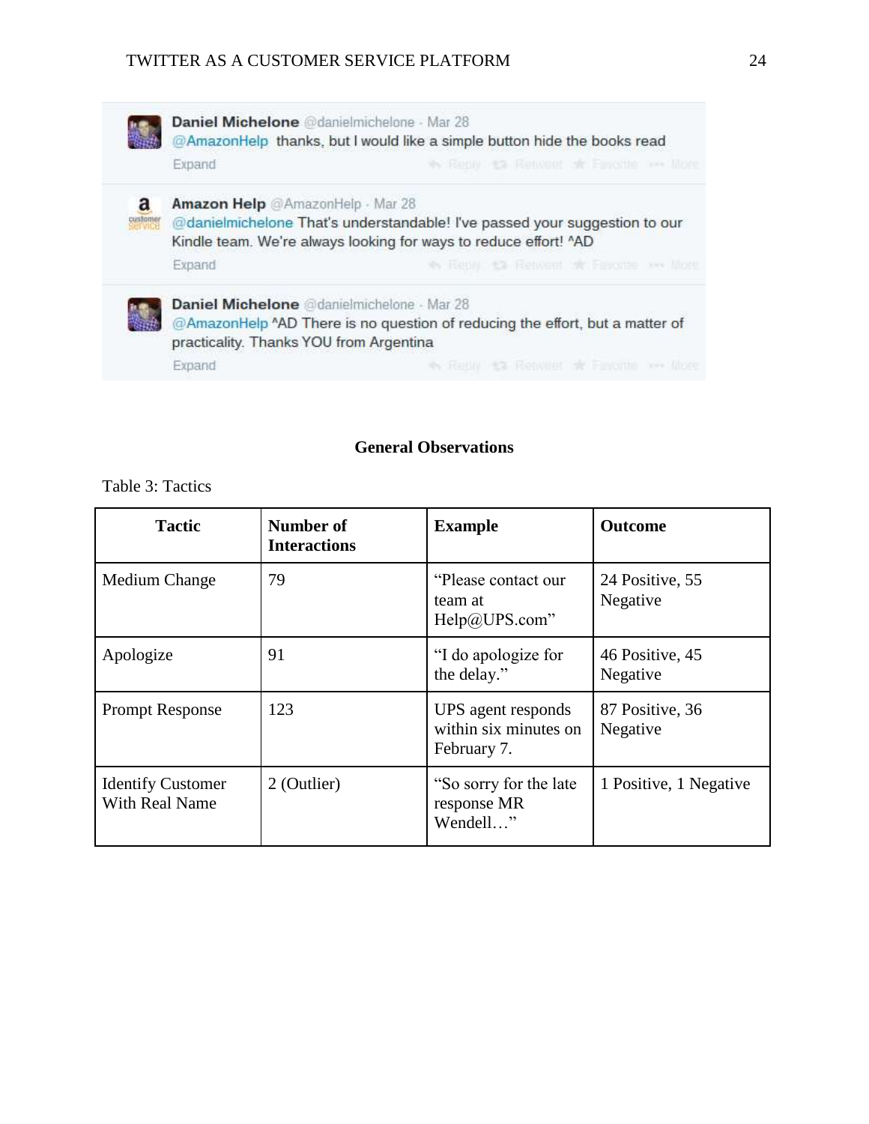|                         | Daniel Michelone @danielmichelone - Mar 28<br>@AmazonHelp thanks, but I would like a simple button hide the books read                                                             |                                                                              |  |
|-------------------------|------------------------------------------------------------------------------------------------------------------------------------------------------------------------------------|------------------------------------------------------------------------------|--|
|                         | Expand                                                                                                                                                                             | We Reply an Retweet of Fayonte overlibre.                                    |  |
| a<br>custome<br>Service | Amazon Help @AmazonHelp · Mar 28<br>@danielmichelone That's understandable! I've passed your suggestion to our<br>Kindle team. We're always looking for ways to reduce effort! "AD |                                                                              |  |
|                         | Expand                                                                                                                                                                             | No Reply : 13 Retweet of Fayonte one libre                                   |  |
|                         | Daniel Michelone @danielmichelone - Mar 28<br>practicality. Thanks YOU from Argentina                                                                                              | @AmazonHelp ^AD There is no question of reducing the effort, but a matter of |  |
|                         | Expand                                                                                                                                                                             | We Renny: 13 Retweet of Favorite one libre                                   |  |

# **General Observations**

Table 3: Tactics

| <b>Tactic</b>                                     | Number of<br><b>Interactions</b> | <b>Example</b>                                             | <b>Outcome</b>              |
|---------------------------------------------------|----------------------------------|------------------------------------------------------------|-----------------------------|
| Medium Change                                     | 79                               | "Please contact our<br>team at<br>Help@UPS.com"            | 24 Positive, 55<br>Negative |
| Apologize                                         | 91                               | "I do apologize for<br>the delay."                         | 46 Positive, 45<br>Negative |
| <b>Prompt Response</b>                            | 123                              | UPS agent responds<br>within six minutes on<br>February 7. | 87 Positive, 36<br>Negative |
| <b>Identify Customer</b><br><b>With Real Name</b> | 2 (Outlier)                      | "So sorry for the late"<br>response MR<br>Wendell"         | 1 Positive, 1 Negative      |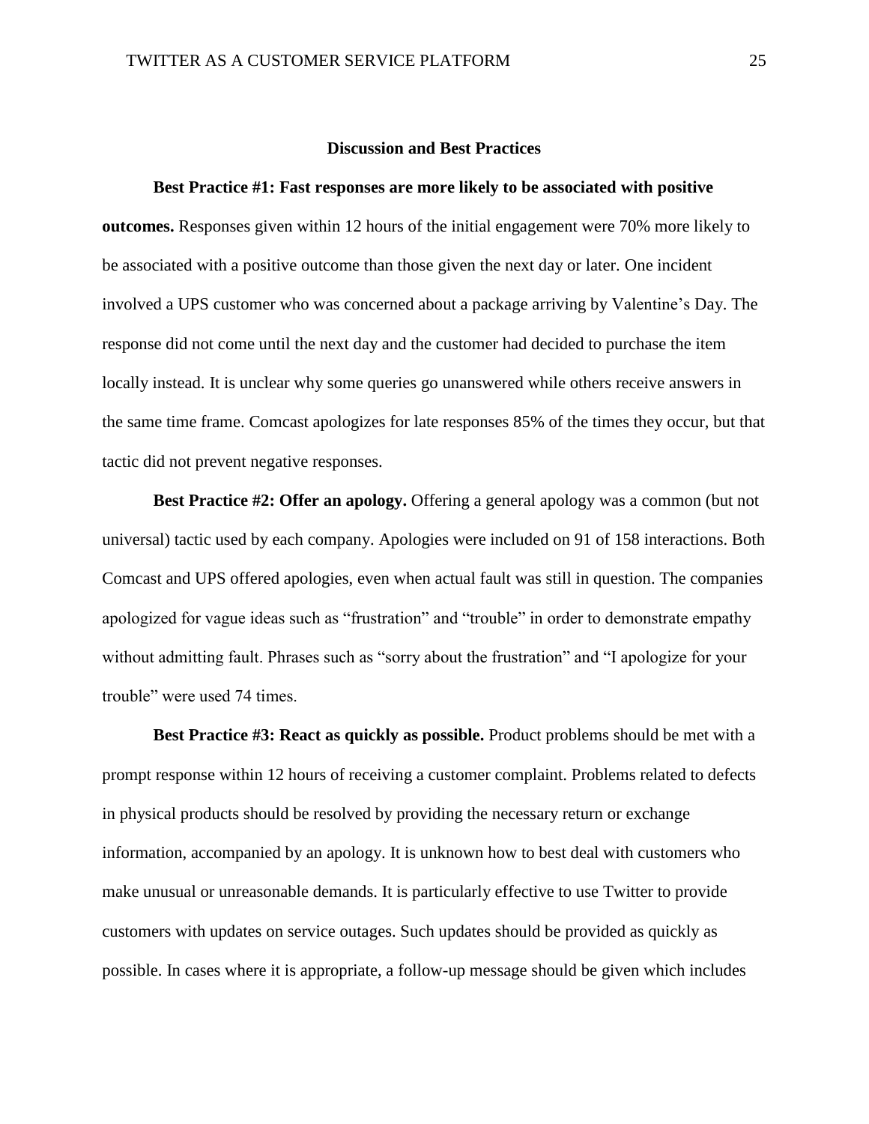### **Discussion and Best Practices**

#### **Best Practice #1: Fast responses are more likely to be associated with positive**

**outcomes.** Responses given within 12 hours of the initial engagement were 70% more likely to be associated with a positive outcome than those given the next day or later. One incident involved a UPS customer who was concerned about a package arriving by Valentine's Day. The response did not come until the next day and the customer had decided to purchase the item locally instead. It is unclear why some queries go unanswered while others receive answers in the same time frame. Comcast apologizes for late responses 85% of the times they occur, but that tactic did not prevent negative responses.

**Best Practice #2: Offer an apology.** Offering a general apology was a common (but not universal) tactic used by each company. Apologies were included on 91 of 158 interactions. Both Comcast and UPS offered apologies, even when actual fault was still in question. The companies apologized for vague ideas such as "frustration" and "trouble" in order to demonstrate empathy without admitting fault. Phrases such as "sorry about the frustration" and "I apologize for your trouble" were used 74 times.

**Best Practice #3: React as quickly as possible.** Product problems should be met with a prompt response within 12 hours of receiving a customer complaint. Problems related to defects in physical products should be resolved by providing the necessary return or exchange information, accompanied by an apology. It is unknown how to best deal with customers who make unusual or unreasonable demands. It is particularly effective to use Twitter to provide customers with updates on service outages. Such updates should be provided as quickly as possible. In cases where it is appropriate, a follow-up message should be given which includes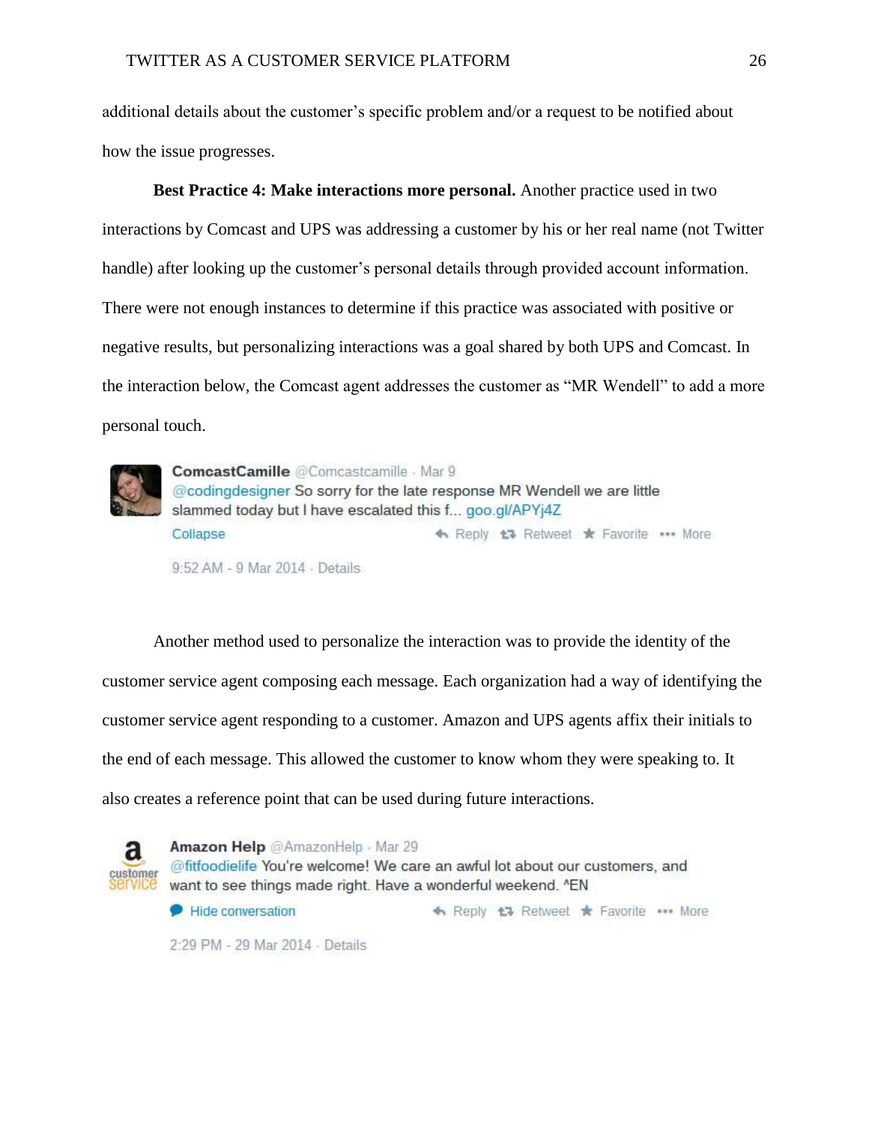additional details about the customer's specific problem and/or a request to be notified about how the issue progresses.

**Best Practice 4: Make interactions more personal.** Another practice used in two interactions by Comcast and UPS was addressing a customer by his or her real name (not Twitter handle) after looking up the customer's personal details through provided account information. There were not enough instances to determine if this practice was associated with positive or negative results, but personalizing interactions was a goal shared by both UPS and Comcast. In the interaction below, the Comcast agent addresses the customer as "MR Wendell" to add a more personal touch.



ComcastCamille @Comcastcamille - Mar 9 @codingdesigner So sorry for the late response MR Wendell we are little slammed today but I have escalated this f... goo.gl/APYj4Z ◆ Reply <del>t3</del> Retweet ★ Favorite ••• More Collapse 9:52 AM - 9 Mar 2014 - Details

Another method used to personalize the interaction was to provide the identity of the customer service agent composing each message. Each organization had a way of identifying the customer service agent responding to a customer. Amazon and UPS agents affix their initials to the end of each message. This allowed the customer to know whom they were speaking to. It also creates a reference point that can be used during future interactions.



Amazon Help @AmazonHelp · Mar 29 @fitfoodielife You're welcome! We care an awful lot about our customers, and want to see things made right. Have a wonderful weekend. "EN

Hide conversation ← Reply <del>t</del> Retweet ★ Favorite ••• More

2:29 PM - 29 Mar 2014 - Details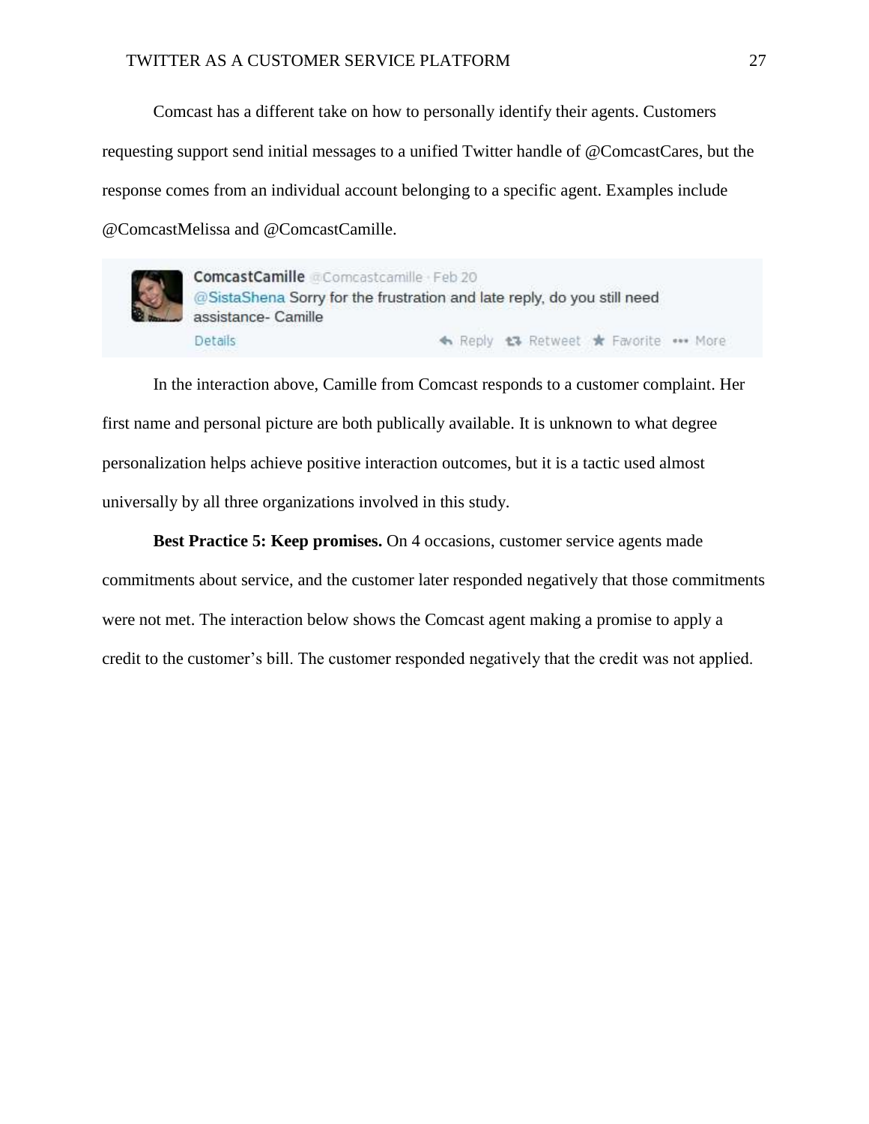Comcast has a different take on how to personally identify their agents. Customers requesting support send initial messages to a unified Twitter handle of @ComcastCares, but the response comes from an individual account belonging to a specific agent. Examples include @ComcastMelissa and @ComcastCamille.



ComcastCamille @Comcastcamille Feb 20 @SistaShena Sorry for the frustration and late reply, do you still need assistance- Camille **Details** ← Reply t3 Retweet \* Favorite \*\*\* More

In the interaction above, Camille from Comcast responds to a customer complaint. Her first name and personal picture are both publically available. It is unknown to what degree personalization helps achieve positive interaction outcomes, but it is a tactic used almost universally by all three organizations involved in this study.

**Best Practice 5: Keep promises.** On 4 occasions, customer service agents made commitments about service, and the customer later responded negatively that those commitments were not met. The interaction below shows the Comcast agent making a promise to apply a credit to the customer's bill. The customer responded negatively that the credit was not applied.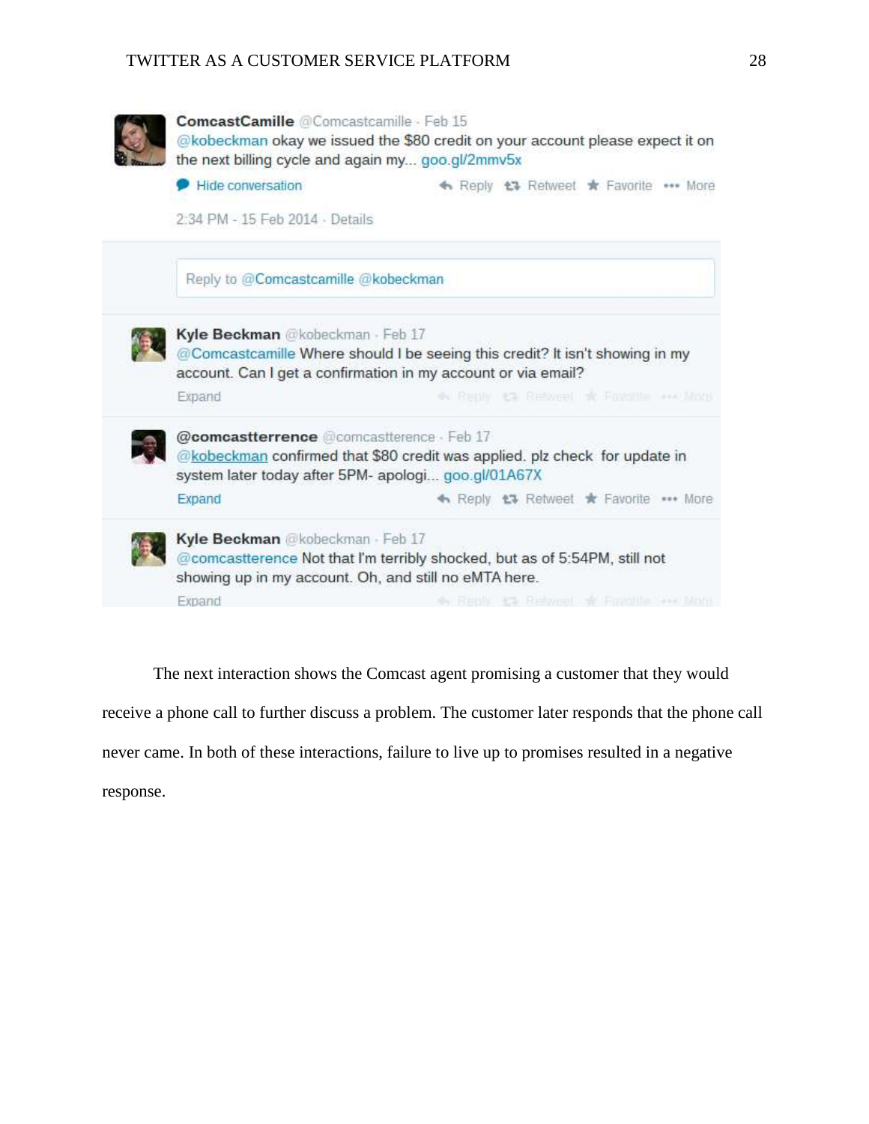

The next interaction shows the Comcast agent promising a customer that they would receive a phone call to further discuss a problem. The customer later responds that the phone call never came. In both of these interactions, failure to live up to promises resulted in a negative response.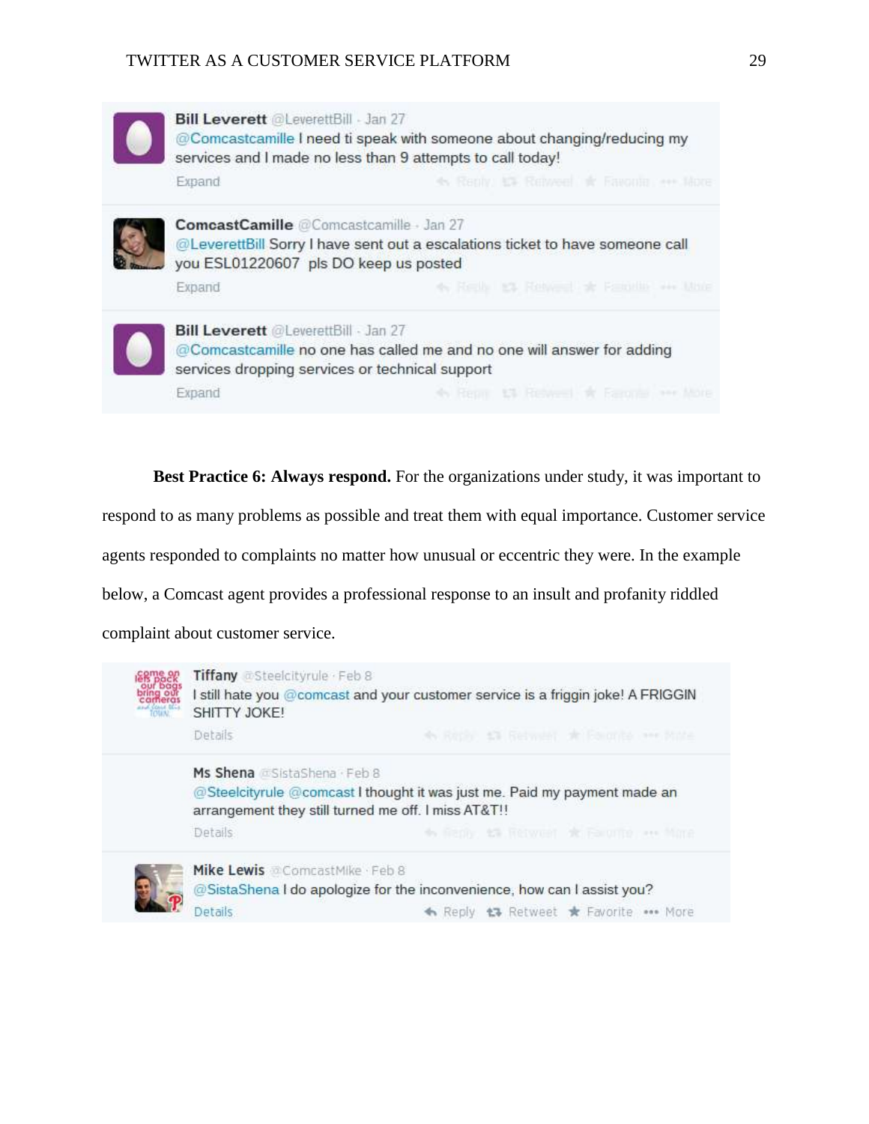| <b>Bill Leverett <i>eleverettBill</i></b> Jan 27<br>@Comcastcamille I need ti speak with someone about changing/reducing my<br>services and I made no less than 9 attempts to call today! |                                                                               |  |
|-------------------------------------------------------------------------------------------------------------------------------------------------------------------------------------------|-------------------------------------------------------------------------------|--|
| Expand                                                                                                                                                                                    | 4. Reply, 15. Renveel & Favoria see More                                      |  |
| ComcastCamille @Comcastcamille Jan 27<br>you ESL01220607 pls DO keep us posted                                                                                                            | @LeverettBill Sorry I have sent out a escalations ticket to have someone call |  |
| Expand                                                                                                                                                                                    | 46 Really 10 Retweet at Female are little                                     |  |
| <b>Bill Leverett</b> <i><b>DLeverettBill</b></i> · Jan 27<br>services dropping services or technical support                                                                              | @Comcastcamille no one has called me and no one will answer for adding        |  |
| Expand                                                                                                                                                                                    | * Repr 13 Rewell * Farone ** Nore                                             |  |

**Best Practice 6: Always respond.** For the organizations under study, it was important to

respond to as many problems as possible and treat them with equal importance. Customer service

agents responded to complaints no matter how unusual or eccentric they were. In the example

below, a Comcast agent provides a professional response to an insult and profanity riddled

complaint about customer service.

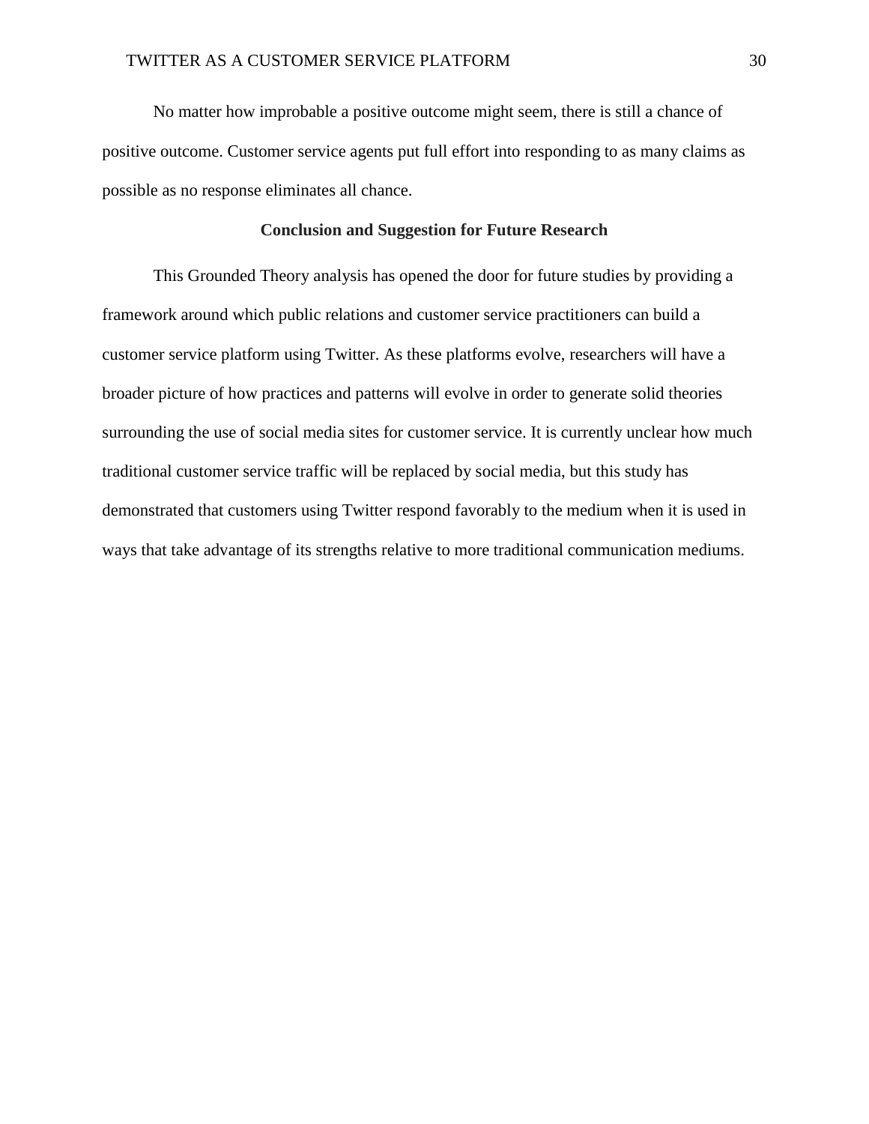No matter how improbable a positive outcome might seem, there is still a chance of positive outcome. Customer service agents put full effort into responding to as many claims as possible as no response eliminates all chance.

### **Conclusion and Suggestion for Future Research**

This Grounded Theory analysis has opened the door for future studies by providing a framework around which public relations and customer service practitioners can build a customer service platform using Twitter. As these platforms evolve, researchers will have a broader picture of how practices and patterns will evolve in order to generate solid theories surrounding the use of social media sites for customer service. It is currently unclear how much traditional customer service traffic will be replaced by social media, but this study has demonstrated that customers using Twitter respond favorably to the medium when it is used in ways that take advantage of its strengths relative to more traditional communication mediums.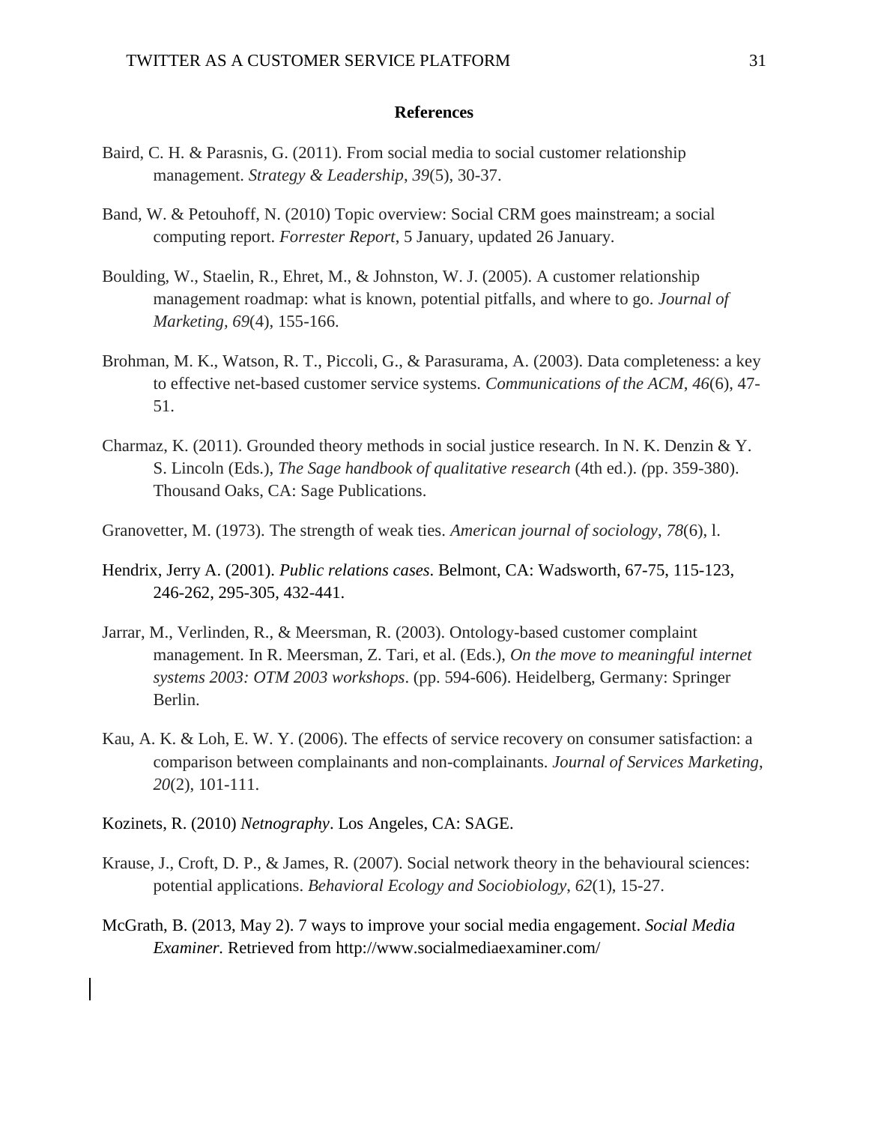#### **References**

- Baird, C. H. & Parasnis, G. (2011). From social media to social customer relationship management. *Strategy & Leadership*, *39*(5), 30-37.
- Band, W. & Petouhoff, N. (2010) Topic overview: Social CRM goes mainstream; a social computing report. *Forrester Report*, 5 January, updated 26 January.
- Boulding, W., Staelin, R., Ehret, M., & Johnston, W. J. (2005). A customer relationship management roadmap: what is known, potential pitfalls, and where to go. *Journal of Marketing, 69*(4), 155-166.
- Brohman, M. K., Watson, R. T., Piccoli, G., & Parasurama, A. (2003). Data completeness: a key to effective net-based customer service systems. *Communications of the ACM*, *46*(6), 47- 51.
- Charmaz, K. (2011). Grounded theory methods in social justice research. In N. K. Denzin & Y. S. Lincoln (Eds.), *The Sage handbook of qualitative research* (4th ed.). *(*pp. 359-380). Thousand Oaks, CA: Sage Publications.
- Granovetter, M. (1973). The strength of weak ties. *American journal of sociology*, *78*(6), l.
- Hendrix, Jerry A. (2001). *Public relations cases*. Belmont, CA: Wadsworth, 67-75, 115-123, 246-262, 295-305, 432-441.
- Jarrar, M., Verlinden, R., & Meersman, R. (2003). Ontology-based customer complaint management. In R. Meersman, Z. Tari, et al. (Eds.), *On the move to meaningful internet systems 2003: OTM 2003 workshops*. (pp. 594-606). Heidelberg, Germany: Springer Berlin.
- Kau, A. K. & Loh, E. W. Y. (2006). The effects of service recovery on consumer satisfaction: a comparison between complainants and non-complainants. *Journal of Services Marketing*, *20*(2), 101-111.
- Kozinets, R. (2010) *Netnography*. Los Angeles, CA: SAGE.
- Krause, J., Croft, D. P., & James, R. (2007). Social network theory in the behavioural sciences: potential applications. *Behavioral Ecology and Sociobiology*, *62*(1), 15-27.
- McGrath, B. (2013, May 2). 7 ways to improve your social media engagement. *Social Media Examiner.* Retrieved from http://www.socialmediaexaminer.com/